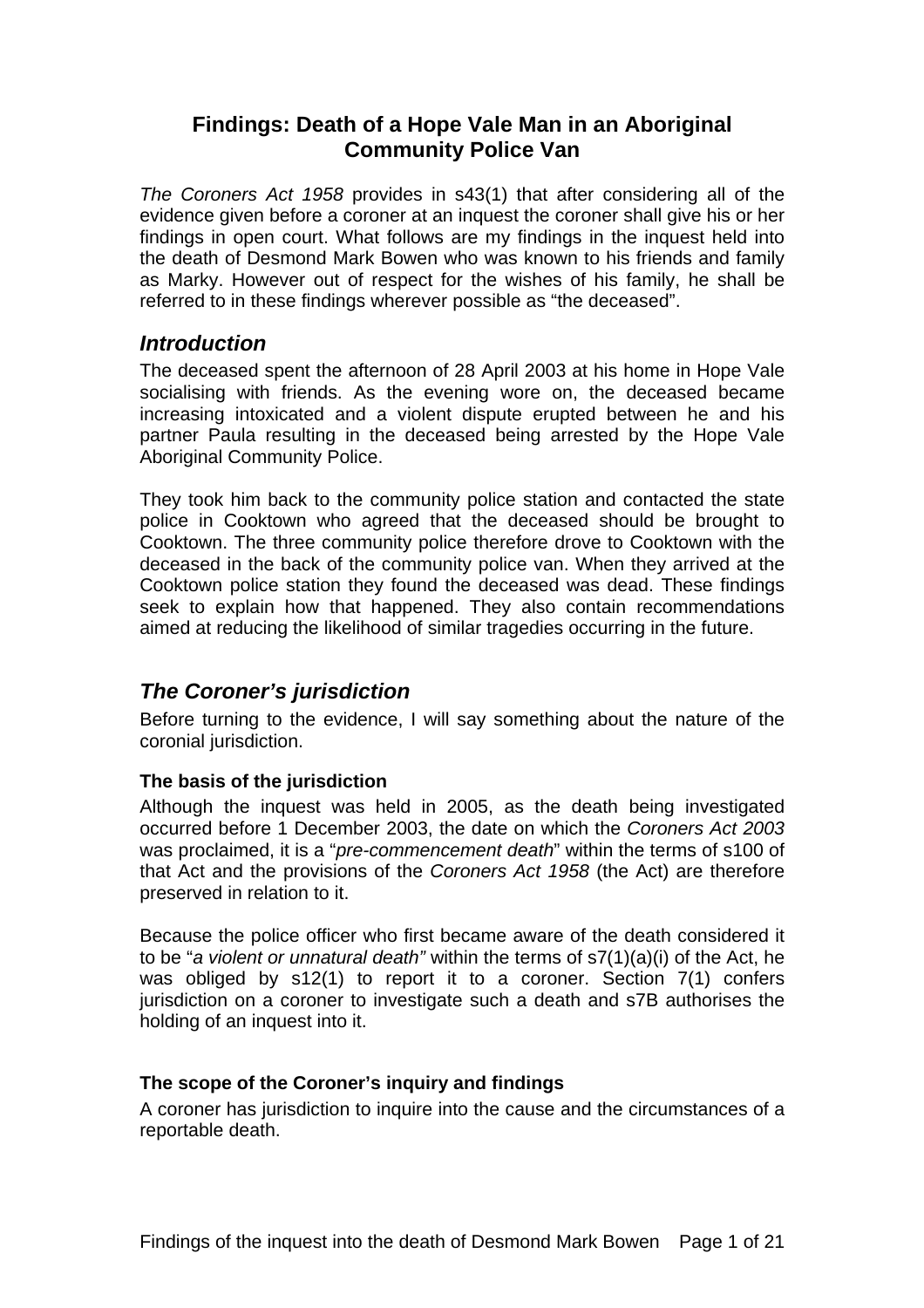## **Findings: Death of a Hope Vale Man in an Aboriginal Community Police Van**

*The Coroners Act 1958* provides in s43(1) that after considering all of the evidence given before a coroner at an inquest the coroner shall give his or her findings in open court. What follows are my findings in the inquest held into the death of Desmond Mark Bowen who was known to his friends and family as Marky. However out of respect for the wishes of his family, he shall be referred to in these findings wherever possible as "the deceased".

## *Introduction*

The deceased spent the afternoon of 28 April 2003 at his home in Hope Vale socialising with friends. As the evening wore on, the deceased became increasing intoxicated and a violent dispute erupted between he and his partner Paula resulting in the deceased being arrested by the Hope Vale Aboriginal Community Police.

They took him back to the community police station and contacted the state police in Cooktown who agreed that the deceased should be brought to Cooktown. The three community police therefore drove to Cooktown with the deceased in the back of the community police van. When they arrived at the Cooktown police station they found the deceased was dead. These findings seek to explain how that happened. They also contain recommendations aimed at reducing the likelihood of similar tragedies occurring in the future.

# *The Coroner's jurisdiction*

Before turning to the evidence, I will say something about the nature of the coronial jurisdiction.

### **The basis of the jurisdiction**

Although the inquest was held in 2005, as the death being investigated occurred before 1 December 2003, the date on which the *Coroners Act 2003* was proclaimed, it is a "*pre-commencement death*" within the terms of s100 of that Act and the provisions of the *Coroners Act 1958* (the Act) are therefore preserved in relation to it.

Because the police officer who first became aware of the death considered it to be "*a violent or unnatural death"* within the terms of s7(1)(a)(i) of the Act, he was obliged by s12(1) to report it to a coroner. Section 7(1) confers jurisdiction on a coroner to investigate such a death and s7B authorises the holding of an inquest into it.

### **The scope of the Coroner's inquiry and findings**

A coroner has jurisdiction to inquire into the cause and the circumstances of a reportable death.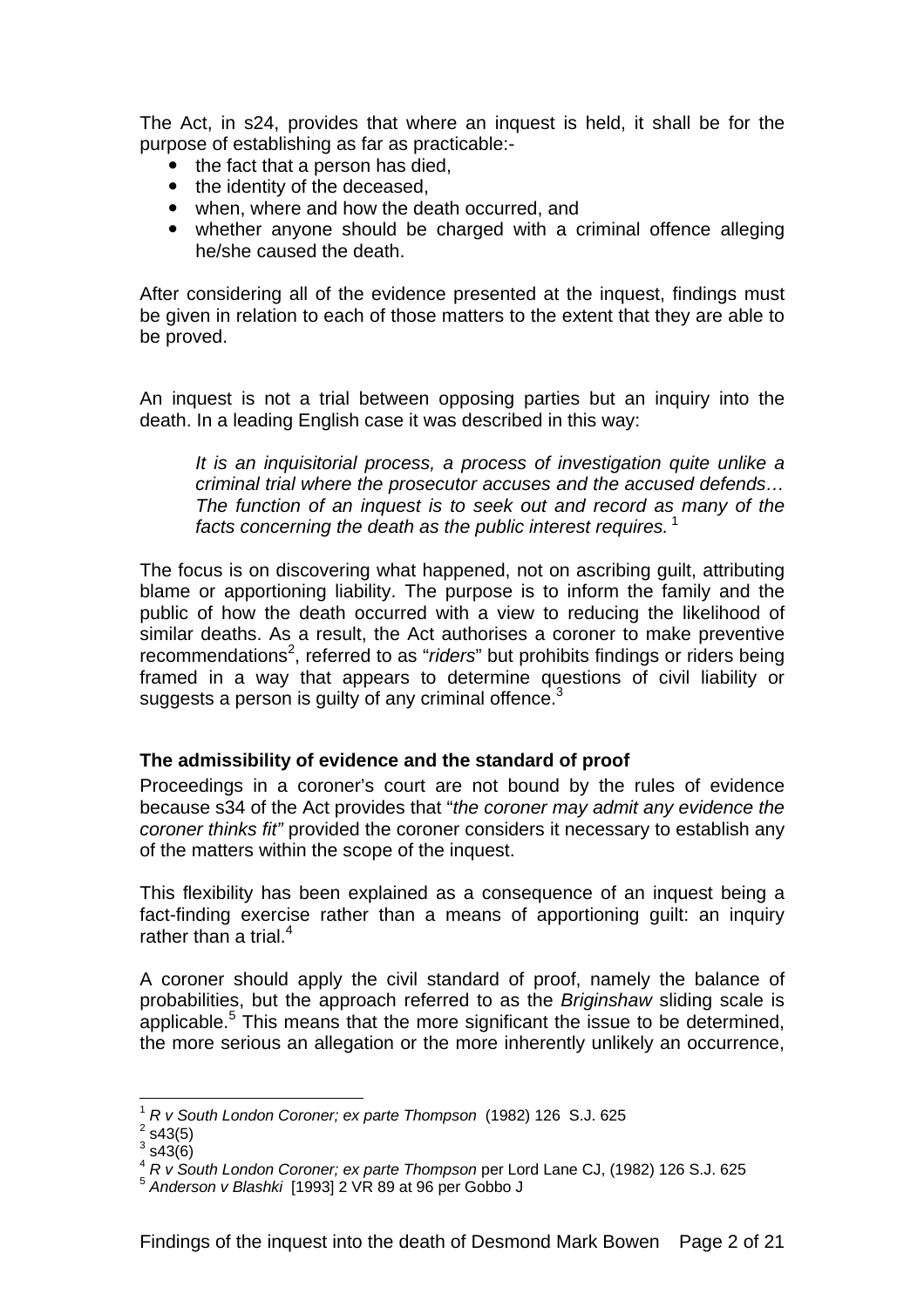The Act, in s24, provides that where an inquest is held, it shall be for the purpose of establishing as far as practicable:-

- $\bullet$  the fact that a person has died.
- the identity of the deceased.
- when, where and how the death occurred, and
- whether anyone should be charged with a criminal offence alleging he/she caused the death.

After considering all of the evidence presented at the inquest, findings must be given in relation to each of those matters to the extent that they are able to be proved.

An inquest is not a trial between opposing parties but an inquiry into the death. In a leading English case it was described in this way:

*It is an inquisitorial process, a process of investigation quite unlike a criminal trial where the prosecutor accuses and the accused defends… The function of an inquest is to seek out and record as many of the facts concerning the death as the public interest requires.*<sup>1</sup>

The focus is on discovering what happened, not on ascribing guilt, attributing blame or apportioning liability. The purpose is to inform the family and the public of how the death occurred with a view to reducing the likelihood of similar deaths. As a result, the Act authorises a coroner to make preventive recommendations<sup>2</sup>, referred to as "*riders*" but prohibits findings or riders being framed in a way that appears to determine questions of civil liability or suggests a person is guilty of any criminal offence. $3$ 

#### **The admissibility of evidence and the standard of proof**

Proceedings in a coroner's court are not bound by the rules of evidence because s34 of the Act provides that "*the coroner may admit any evidence the coroner thinks fit"* provided the coroner considers it necessary to establish any of the matters within the scope of the inquest.

This flexibility has been explained as a consequence of an inquest being a fact-finding exercise rather than a means of apportioning guilt: an inquiry rather than a trial. $4$ 

A coroner should apply the civil standard of proof, namely the balance of probabilities, but the approach referred to as the *Briginshaw* sliding scale is applicable.<sup>5</sup> This means that the more significant the issue to be determined, the more serious an allegation or the more inherently unlikely an occurrence,

 $\overline{a}$ 

<sup>1</sup> *R v South London Coroner; ex parte Thompson* (1982) 126 S.J. 625 2

 $2$  s43(5)

 $3$  s43(6)

<sup>4</sup> *R v South London Coroner; ex parte Thompson* per Lord Lane CJ, (1982) 126 S.J. 625

<sup>5</sup> *Anderson v Blashki* [1993] 2 VR 89 at 96 per Gobbo J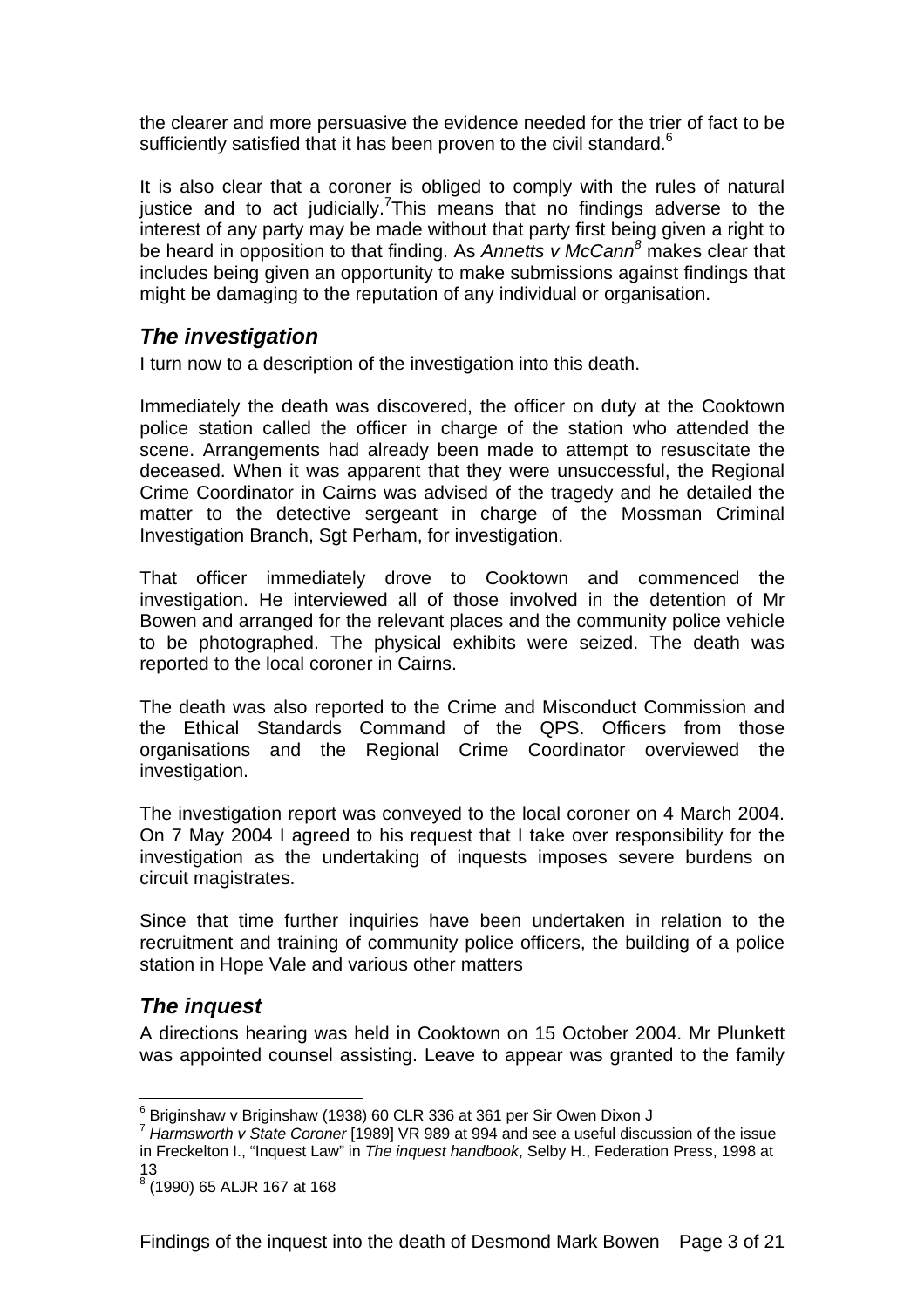the clearer and more persuasive the evidence needed for the trier of fact to be sufficiently satisfied that it has been proven to the civil standard.<sup>6</sup>

It is also clear that a coroner is obliged to comply with the rules of natural justice and to act judicially. This means that no findings adverse to the interest of any party may be made without that party first being given a right to be heard in opposition to that finding. As *Annetts v McCann<sup>8</sup>* makes clear that includes being given an opportunity to make submissions against findings that might be damaging to the reputation of any individual or organisation.

## *The investigation*

I turn now to a description of the investigation into this death.

Immediately the death was discovered, the officer on duty at the Cooktown police station called the officer in charge of the station who attended the scene. Arrangements had already been made to attempt to resuscitate the deceased. When it was apparent that they were unsuccessful, the Regional Crime Coordinator in Cairns was advised of the tragedy and he detailed the matter to the detective sergeant in charge of the Mossman Criminal Investigation Branch, Sgt Perham, for investigation.

That officer immediately drove to Cooktown and commenced the investigation. He interviewed all of those involved in the detention of Mr Bowen and arranged for the relevant places and the community police vehicle to be photographed. The physical exhibits were seized. The death was reported to the local coroner in Cairns.

The death was also reported to the Crime and Misconduct Commission and the Ethical Standards Command of the QPS. Officers from those organisations and the Regional Crime Coordinator overviewed the investigation.

The investigation report was conveyed to the local coroner on 4 March 2004. On 7 May 2004 I agreed to his request that I take over responsibility for the investigation as the undertaking of inquests imposes severe burdens on circuit magistrates.

Since that time further inquiries have been undertaken in relation to the recruitment and training of community police officers, the building of a police station in Hope Vale and various other matters

## *The inquest*

 $\overline{a}$ 

A directions hearing was held in Cooktown on 15 October 2004. Mr Plunkett was appointed counsel assisting. Leave to appear was granted to the family

 $^6$  Briginshaw v Briginshaw (1938) 60 CLR 336 at 361 per Sir Owen Dixon J

<sup>7</sup> *Harmsworth v State Coroner* [1989] VR 989 at 994 and see a useful discussion of the issue in Freckelton I., "Inquest Law" in *The inquest handbook*, Selby H., Federation Press, 1998 at 13

<sup>8</sup> (1990) 65 ALJR 167 at 168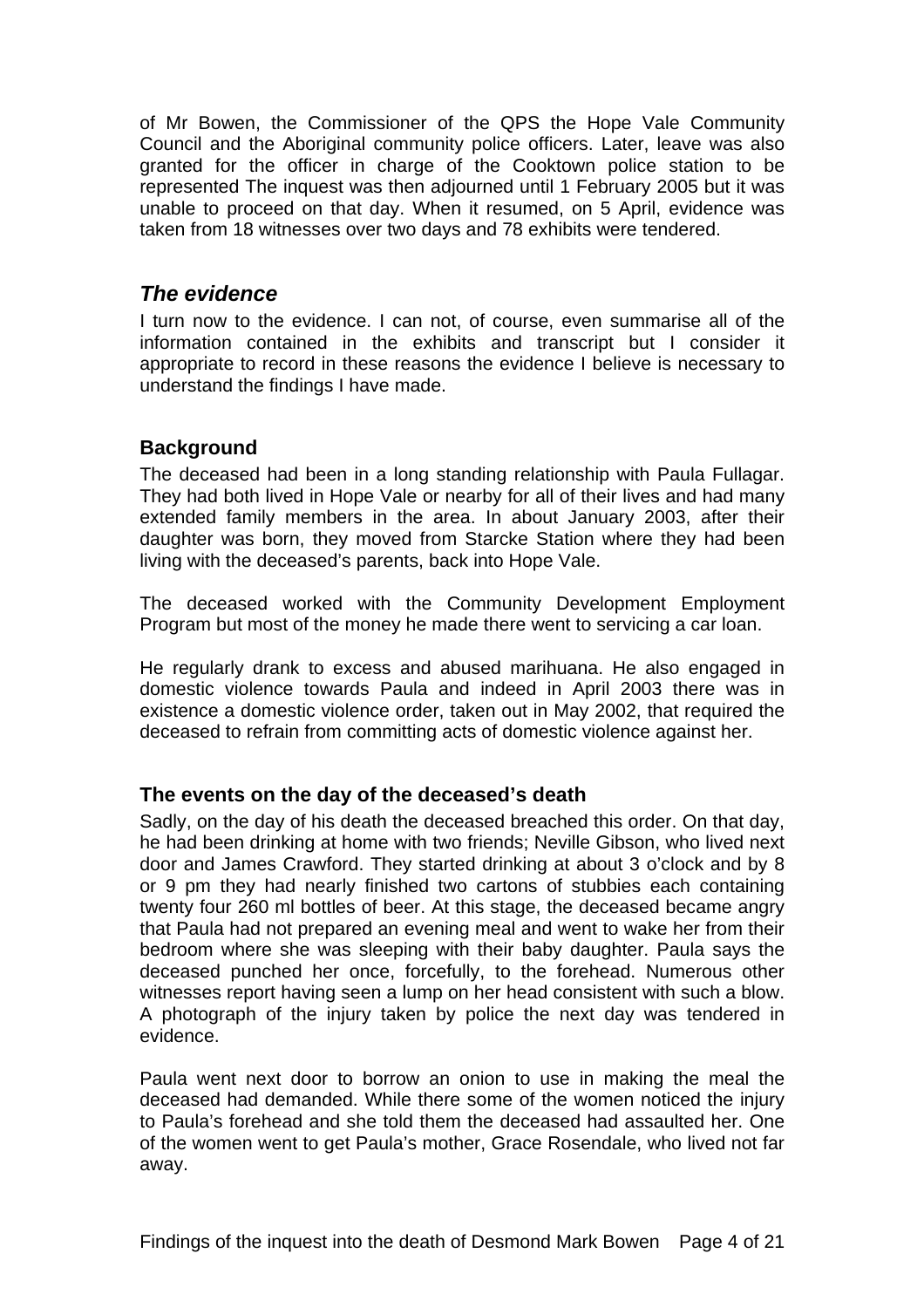of Mr Bowen, the Commissioner of the QPS the Hope Vale Community Council and the Aboriginal community police officers. Later, leave was also granted for the officer in charge of the Cooktown police station to be represented The inquest was then adjourned until 1 February 2005 but it was unable to proceed on that day. When it resumed, on 5 April, evidence was taken from 18 witnesses over two days and 78 exhibits were tendered.

### *The evidence*

I turn now to the evidence. I can not, of course, even summarise all of the information contained in the exhibits and transcript but I consider it appropriate to record in these reasons the evidence I believe is necessary to understand the findings I have made.

### **Background**

The deceased had been in a long standing relationship with Paula Fullagar. They had both lived in Hope Vale or nearby for all of their lives and had many extended family members in the area. In about January 2003, after their daughter was born, they moved from Starcke Station where they had been living with the deceased's parents, back into Hope Vale.

The deceased worked with the Community Development Employment Program but most of the money he made there went to servicing a car loan.

He regularly drank to excess and abused marihuana. He also engaged in domestic violence towards Paula and indeed in April 2003 there was in existence a domestic violence order, taken out in May 2002, that required the deceased to refrain from committing acts of domestic violence against her.

### **The events on the day of the deceased's death**

Sadly, on the day of his death the deceased breached this order. On that day, he had been drinking at home with two friends; Neville Gibson, who lived next door and James Crawford. They started drinking at about 3 o'clock and by 8 or 9 pm they had nearly finished two cartons of stubbies each containing twenty four 260 ml bottles of beer. At this stage, the deceased became angry that Paula had not prepared an evening meal and went to wake her from their bedroom where she was sleeping with their baby daughter. Paula says the deceased punched her once, forcefully, to the forehead. Numerous other witnesses report having seen a lump on her head consistent with such a blow. A photograph of the injury taken by police the next day was tendered in evidence.

Paula went next door to borrow an onion to use in making the meal the deceased had demanded. While there some of the women noticed the injury to Paula's forehead and she told them the deceased had assaulted her. One of the women went to get Paula's mother, Grace Rosendale, who lived not far away.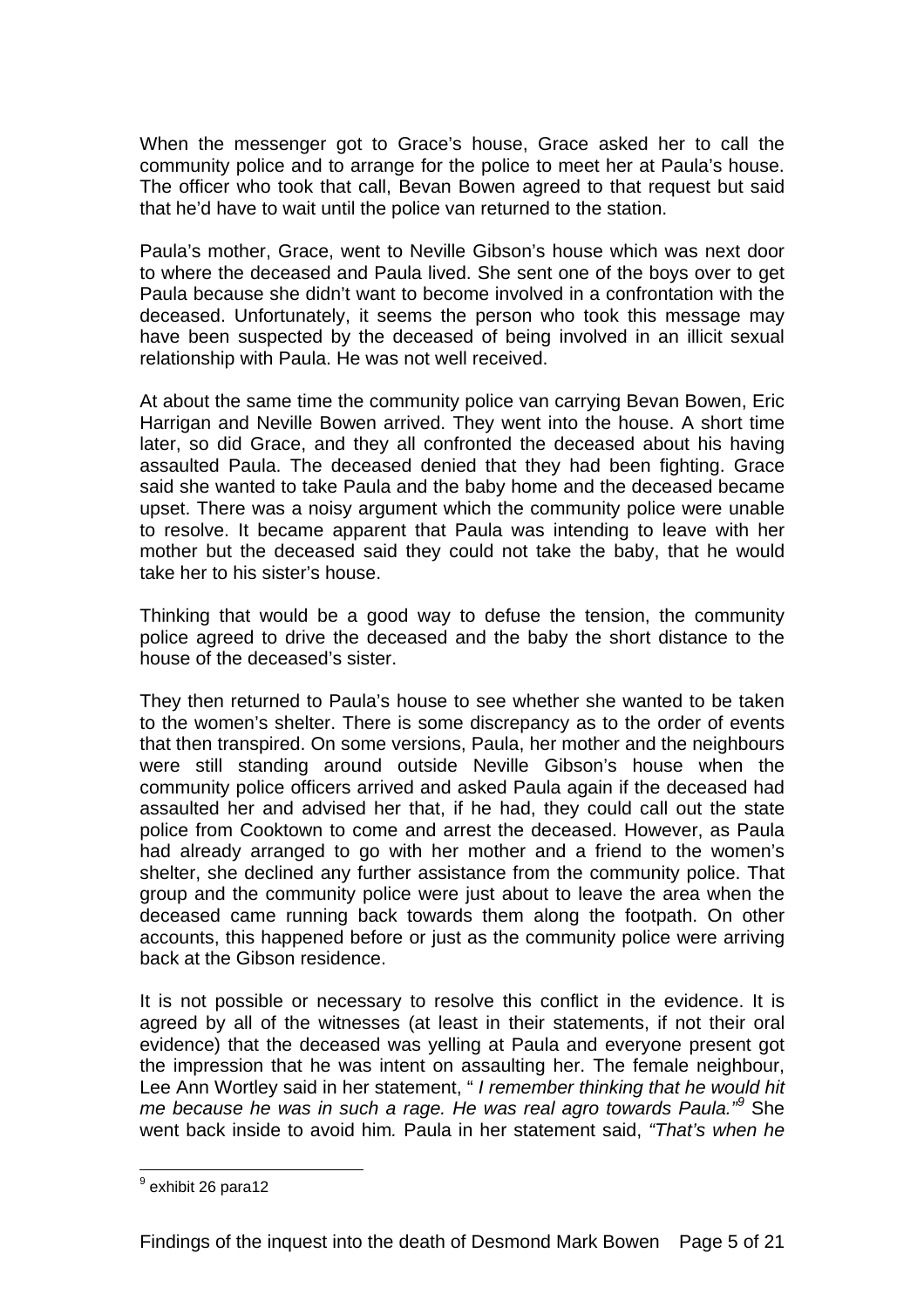When the messenger got to Grace's house, Grace asked her to call the community police and to arrange for the police to meet her at Paula's house. The officer who took that call, Bevan Bowen agreed to that request but said that he'd have to wait until the police van returned to the station.

Paula's mother, Grace, went to Neville Gibson's house which was next door to where the deceased and Paula lived. She sent one of the boys over to get Paula because she didn't want to become involved in a confrontation with the deceased. Unfortunately, it seems the person who took this message may have been suspected by the deceased of being involved in an illicit sexual relationship with Paula. He was not well received.

At about the same time the community police van carrying Bevan Bowen, Eric Harrigan and Neville Bowen arrived. They went into the house. A short time later, so did Grace, and they all confronted the deceased about his having assaulted Paula. The deceased denied that they had been fighting. Grace said she wanted to take Paula and the baby home and the deceased became upset. There was a noisy argument which the community police were unable to resolve. It became apparent that Paula was intending to leave with her mother but the deceased said they could not take the baby, that he would take her to his sister's house.

Thinking that would be a good way to defuse the tension, the community police agreed to drive the deceased and the baby the short distance to the house of the deceased's sister.

They then returned to Paula's house to see whether she wanted to be taken to the women's shelter. There is some discrepancy as to the order of events that then transpired. On some versions, Paula, her mother and the neighbours were still standing around outside Neville Gibson's house when the community police officers arrived and asked Paula again if the deceased had assaulted her and advised her that, if he had, they could call out the state police from Cooktown to come and arrest the deceased. However, as Paula had already arranged to go with her mother and a friend to the women's shelter, she declined any further assistance from the community police. That group and the community police were just about to leave the area when the deceased came running back towards them along the footpath. On other accounts, this happened before or just as the community police were arriving back at the Gibson residence.

It is not possible or necessary to resolve this conflict in the evidence. It is agreed by all of the witnesses (at least in their statements, if not their oral evidence) that the deceased was yelling at Paula and everyone present got the impression that he was intent on assaulting her. The female neighbour, Lee Ann Wortley said in her statement, " *I remember thinking that he would hit me because he was in such a rage. He was real agro towards Paula."<sup>9</sup>* She went back inside to avoid him*.* Paula in her statement said, *"That's when he* 

exhibit 26 para12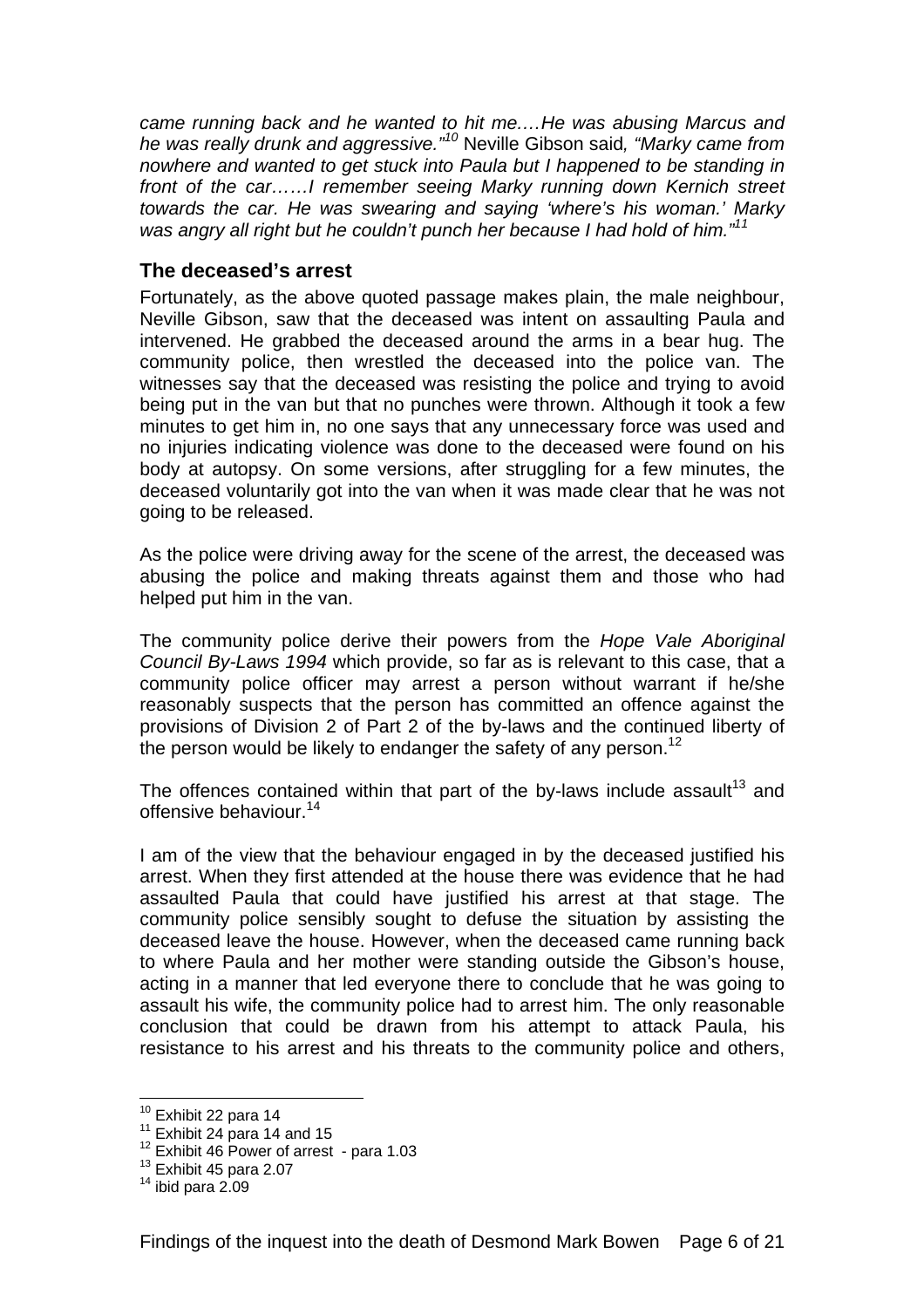*came running back and he wanted to hit me.…He was abusing Marcus and he was really drunk and aggressive."<sup>10</sup>* Neville Gibson said*, "Marky came from nowhere and wanted to get stuck into Paula but I happened to be standing in*  front of the car......I remember seeing Marky running down Kernich street *towards the car. He was swearing and saying 'where's his woman.' Marky was angry all right but he couldn't punch her because I had hold of him."11*

#### **The deceased's arrest**

Fortunately, as the above quoted passage makes plain, the male neighbour, Neville Gibson, saw that the deceased was intent on assaulting Paula and intervened. He grabbed the deceased around the arms in a bear hug. The community police, then wrestled the deceased into the police van. The witnesses say that the deceased was resisting the police and trying to avoid being put in the van but that no punches were thrown. Although it took a few minutes to get him in, no one says that any unnecessary force was used and no injuries indicating violence was done to the deceased were found on his body at autopsy. On some versions, after struggling for a few minutes, the deceased voluntarily got into the van when it was made clear that he was not going to be released.

As the police were driving away for the scene of the arrest, the deceased was abusing the police and making threats against them and those who had helped put him in the van.

The community police derive their powers from the *Hope Vale Aboriginal Council By-Laws 1994* which provide, so far as is relevant to this case, that a community police officer may arrest a person without warrant if he/she reasonably suspects that the person has committed an offence against the provisions of Division 2 of Part 2 of the by-laws and the continued liberty of the person would be likely to endanger the safety of any person.<sup>12</sup>

The offences contained within that part of the by-laws include assault<sup>13</sup> and offensive behaviour.<sup>14</sup>

I am of the view that the behaviour engaged in by the deceased justified his arrest. When they first attended at the house there was evidence that he had assaulted Paula that could have justified his arrest at that stage. The community police sensibly sought to defuse the situation by assisting the deceased leave the house. However, when the deceased came running back to where Paula and her mother were standing outside the Gibson's house, acting in a manner that led everyone there to conclude that he was going to assault his wife, the community police had to arrest him. The only reasonable conclusion that could be drawn from his attempt to attack Paula, his resistance to his arrest and his threats to the community police and others,

<sup>&</sup>lt;sup>10</sup> Exhibit 22 para 14

<sup>&</sup>lt;sup>11</sup> Exhibit 24 para 14 and 15<br><sup>12</sup> Exhibit 46 Power of arrest - para 1.03<br><sup>13</sup> Exhibit 45 para 2.07<br><sup>14</sup> ibid para 2.09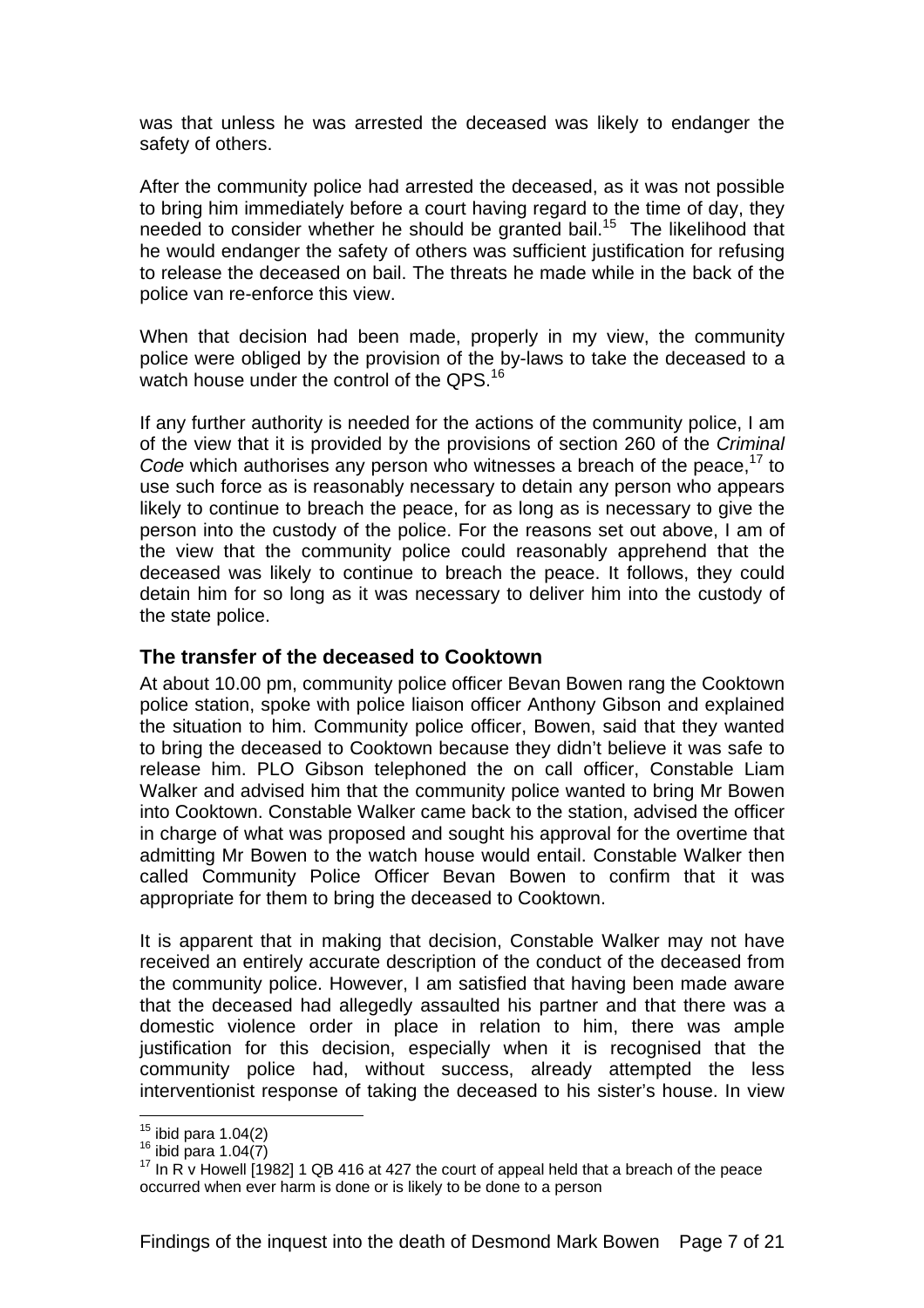was that unless he was arrested the deceased was likely to endanger the safety of others.

After the community police had arrested the deceased, as it was not possible to bring him immediately before a court having regard to the time of day, they needed to consider whether he should be granted bail.<sup>15</sup> The likelihood that he would endanger the safety of others was sufficient justification for refusing to release the deceased on bail. The threats he made while in the back of the police van re-enforce this view.

When that decision had been made, properly in my view, the community police were obliged by the provision of the by-laws to take the deceased to a watch house under the control of the QPS.<sup>16</sup>

If any further authority is needed for the actions of the community police, I am of the view that it is provided by the provisions of section 260 of the *Criminal Code* which authorises any person who witnesses a breach of the peace.<sup>17</sup> to use such force as is reasonably necessary to detain any person who appears likely to continue to breach the peace, for as long as is necessary to give the person into the custody of the police. For the reasons set out above, I am of the view that the community police could reasonably apprehend that the deceased was likely to continue to breach the peace. It follows, they could detain him for so long as it was necessary to deliver him into the custody of the state police.

#### **The transfer of the deceased to Cooktown**

At about 10.00 pm, community police officer Bevan Bowen rang the Cooktown police station, spoke with police liaison officer Anthony Gibson and explained the situation to him. Community police officer, Bowen, said that they wanted to bring the deceased to Cooktown because they didn't believe it was safe to release him. PLO Gibson telephoned the on call officer, Constable Liam Walker and advised him that the community police wanted to bring Mr Bowen into Cooktown. Constable Walker came back to the station, advised the officer in charge of what was proposed and sought his approval for the overtime that admitting Mr Bowen to the watch house would entail. Constable Walker then called Community Police Officer Bevan Bowen to confirm that it was appropriate for them to bring the deceased to Cooktown.

It is apparent that in making that decision, Constable Walker may not have received an entirely accurate description of the conduct of the deceased from the community police. However, I am satisfied that having been made aware that the deceased had allegedly assaulted his partner and that there was a domestic violence order in place in relation to him, there was ample justification for this decision, especially when it is recognised that the community police had, without success, already attempted the less interventionist response of taking the deceased to his sister's house. In view

 $15$  ibid para 1.04(2)

<sup>16</sup> ibid para 1.04(7)<br> $\frac{16}{16}$  ibid para 1.04(7)<br><sup>17</sup> In R v Howell [1982] 1 QB 416 at 427 the court of appeal held that a breach of the peace occurred when ever harm is done or is likely to be done to a person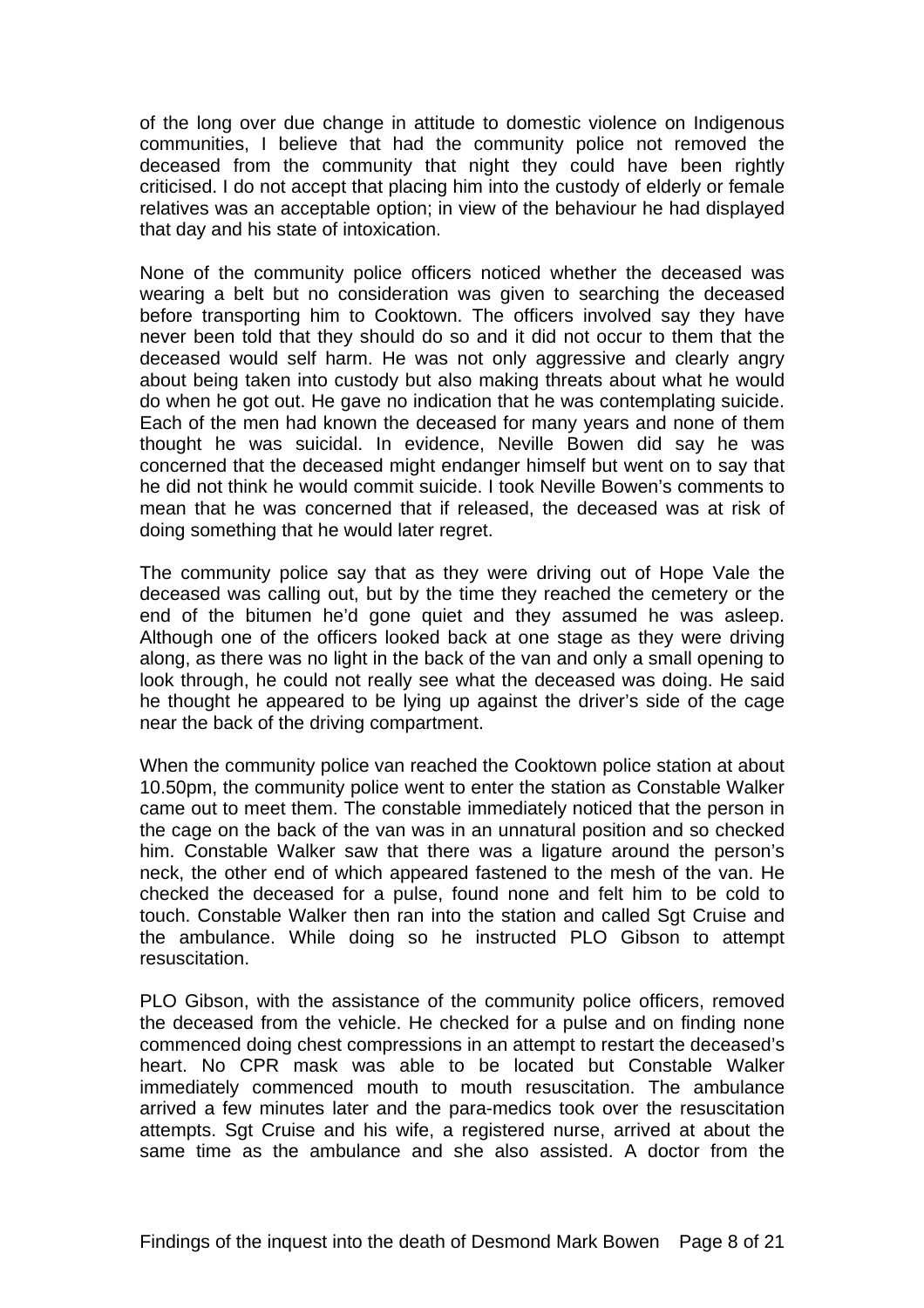of the long over due change in attitude to domestic violence on Indigenous communities, I believe that had the community police not removed the deceased from the community that night they could have been rightly criticised. I do not accept that placing him into the custody of elderly or female relatives was an acceptable option; in view of the behaviour he had displayed that day and his state of intoxication.

None of the community police officers noticed whether the deceased was wearing a belt but no consideration was given to searching the deceased before transporting him to Cooktown. The officers involved say they have never been told that they should do so and it did not occur to them that the deceased would self harm. He was not only aggressive and clearly angry about being taken into custody but also making threats about what he would do when he got out. He gave no indication that he was contemplating suicide. Each of the men had known the deceased for many years and none of them thought he was suicidal. In evidence, Neville Bowen did say he was concerned that the deceased might endanger himself but went on to say that he did not think he would commit suicide. I took Neville Bowen's comments to mean that he was concerned that if released, the deceased was at risk of doing something that he would later regret.

The community police say that as they were driving out of Hope Vale the deceased was calling out, but by the time they reached the cemetery or the end of the bitumen he'd gone quiet and they assumed he was asleep. Although one of the officers looked back at one stage as they were driving along, as there was no light in the back of the van and only a small opening to look through, he could not really see what the deceased was doing. He said he thought he appeared to be lying up against the driver's side of the cage near the back of the driving compartment.

When the community police van reached the Cooktown police station at about 10.50pm, the community police went to enter the station as Constable Walker came out to meet them. The constable immediately noticed that the person in the cage on the back of the van was in an unnatural position and so checked him. Constable Walker saw that there was a ligature around the person's neck, the other end of which appeared fastened to the mesh of the van. He checked the deceased for a pulse, found none and felt him to be cold to touch. Constable Walker then ran into the station and called Sat Cruise and the ambulance. While doing so he instructed PLO Gibson to attempt resuscitation.

PLO Gibson, with the assistance of the community police officers, removed the deceased from the vehicle. He checked for a pulse and on finding none commenced doing chest compressions in an attempt to restart the deceased's heart. No CPR mask was able to be located but Constable Walker immediately commenced mouth to mouth resuscitation. The ambulance arrived a few minutes later and the para-medics took over the resuscitation attempts. Sgt Cruise and his wife, a registered nurse, arrived at about the same time as the ambulance and she also assisted. A doctor from the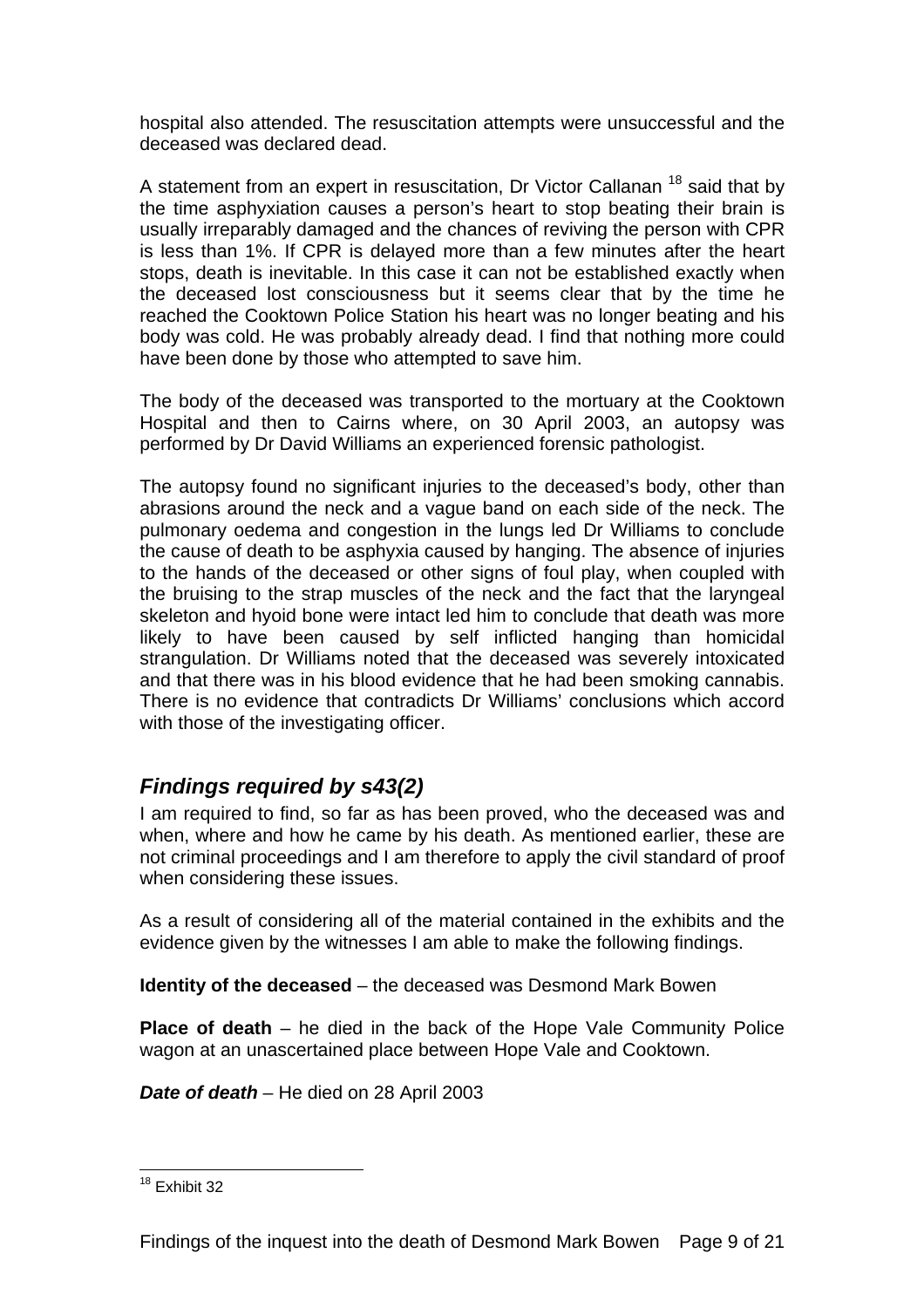hospital also attended. The resuscitation attempts were unsuccessful and the deceased was declared dead.

A statement from an expert in resuscitation, Dr Victor Callanan 18 said that by the time asphyxiation causes a person's heart to stop beating their brain is usually irreparably damaged and the chances of reviving the person with CPR is less than 1%. If CPR is delayed more than a few minutes after the heart stops, death is inevitable. In this case it can not be established exactly when the deceased lost consciousness but it seems clear that by the time he reached the Cooktown Police Station his heart was no longer beating and his body was cold. He was probably already dead. I find that nothing more could have been done by those who attempted to save him.

The body of the deceased was transported to the mortuary at the Cooktown Hospital and then to Cairns where, on 30 April 2003, an autopsy was performed by Dr David Williams an experienced forensic pathologist.

The autopsy found no significant injuries to the deceased's body, other than abrasions around the neck and a vague band on each side of the neck. The pulmonary oedema and congestion in the lungs led Dr Williams to conclude the cause of death to be asphyxia caused by hanging. The absence of injuries to the hands of the deceased or other signs of foul play, when coupled with the bruising to the strap muscles of the neck and the fact that the laryngeal skeleton and hyoid bone were intact led him to conclude that death was more likely to have been caused by self inflicted hanging than homicidal strangulation. Dr Williams noted that the deceased was severely intoxicated and that there was in his blood evidence that he had been smoking cannabis. There is no evidence that contradicts Dr Williams' conclusions which accord with those of the investigating officer.

# *Findings required by s43(2)*

I am required to find, so far as has been proved, who the deceased was and when, where and how he came by his death. As mentioned earlier, these are not criminal proceedings and I am therefore to apply the civil standard of proof when considering these issues.

As a result of considering all of the material contained in the exhibits and the evidence given by the witnesses I am able to make the following findings.

**Identity of the deceased** – the deceased was Desmond Mark Bowen

**Place of death** – he died in the back of the Hope Vale Community Police wagon at an unascertained place between Hope Vale and Cooktown.

*Date of death* – He died on 28 April 2003

 $\overline{a}$ <sup>18</sup> Exhibit 32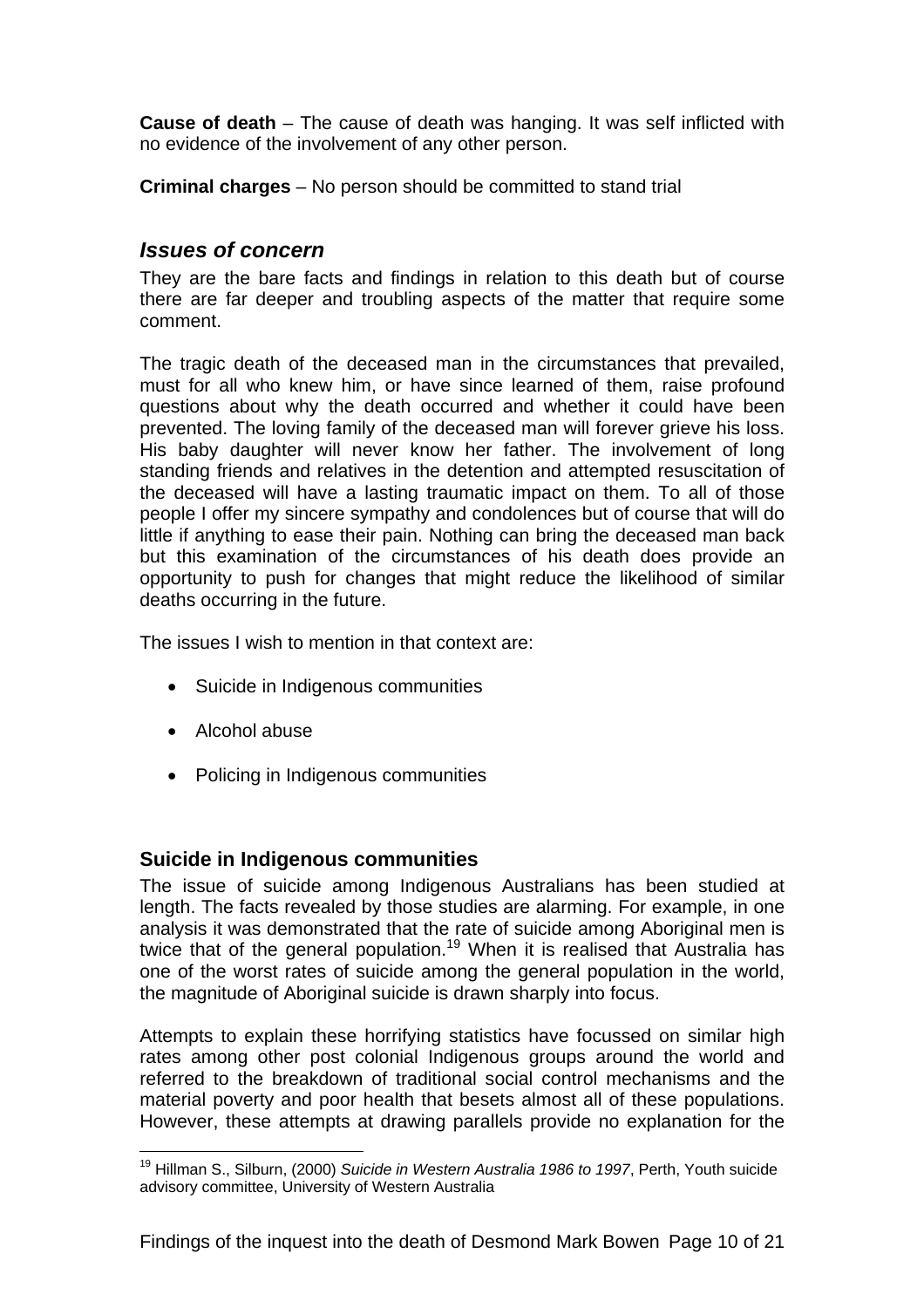**Cause of death** – The cause of death was hanging. It was self inflicted with no evidence of the involvement of any other person.

**Criminal charges** – No person should be committed to stand trial

#### *Issues of concern*

They are the bare facts and findings in relation to this death but of course there are far deeper and troubling aspects of the matter that require some comment.

The tragic death of the deceased man in the circumstances that prevailed, must for all who knew him, or have since learned of them, raise profound questions about why the death occurred and whether it could have been prevented. The loving family of the deceased man will forever grieve his loss. His baby daughter will never know her father. The involvement of long standing friends and relatives in the detention and attempted resuscitation of the deceased will have a lasting traumatic impact on them. To all of those people I offer my sincere sympathy and condolences but of course that will do little if anything to ease their pain. Nothing can bring the deceased man back but this examination of the circumstances of his death does provide an opportunity to push for changes that might reduce the likelihood of similar deaths occurring in the future.

The issues I wish to mention in that context are:

- Suicide in Indigenous communities
- Alcohol abuse

 $\overline{a}$ 

• Policing in Indigenous communities

#### **Suicide in Indigenous communities**

The issue of suicide among Indigenous Australians has been studied at length. The facts revealed by those studies are alarming. For example, in one analysis it was demonstrated that the rate of suicide among Aboriginal men is twice that of the general population.<sup>19</sup> When it is realised that Australia has one of the worst rates of suicide among the general population in the world, the magnitude of Aboriginal suicide is drawn sharply into focus.

Attempts to explain these horrifying statistics have focussed on similar high rates among other post colonial Indigenous groups around the world and referred to the breakdown of traditional social control mechanisms and the material poverty and poor health that besets almost all of these populations. However, these attempts at drawing parallels provide no explanation for the

<sup>19</sup> Hillman S., Silburn, (2000) *Suicide in Western Australia 1986 to 1997*, Perth, Youth suicide advisory committee, University of Western Australia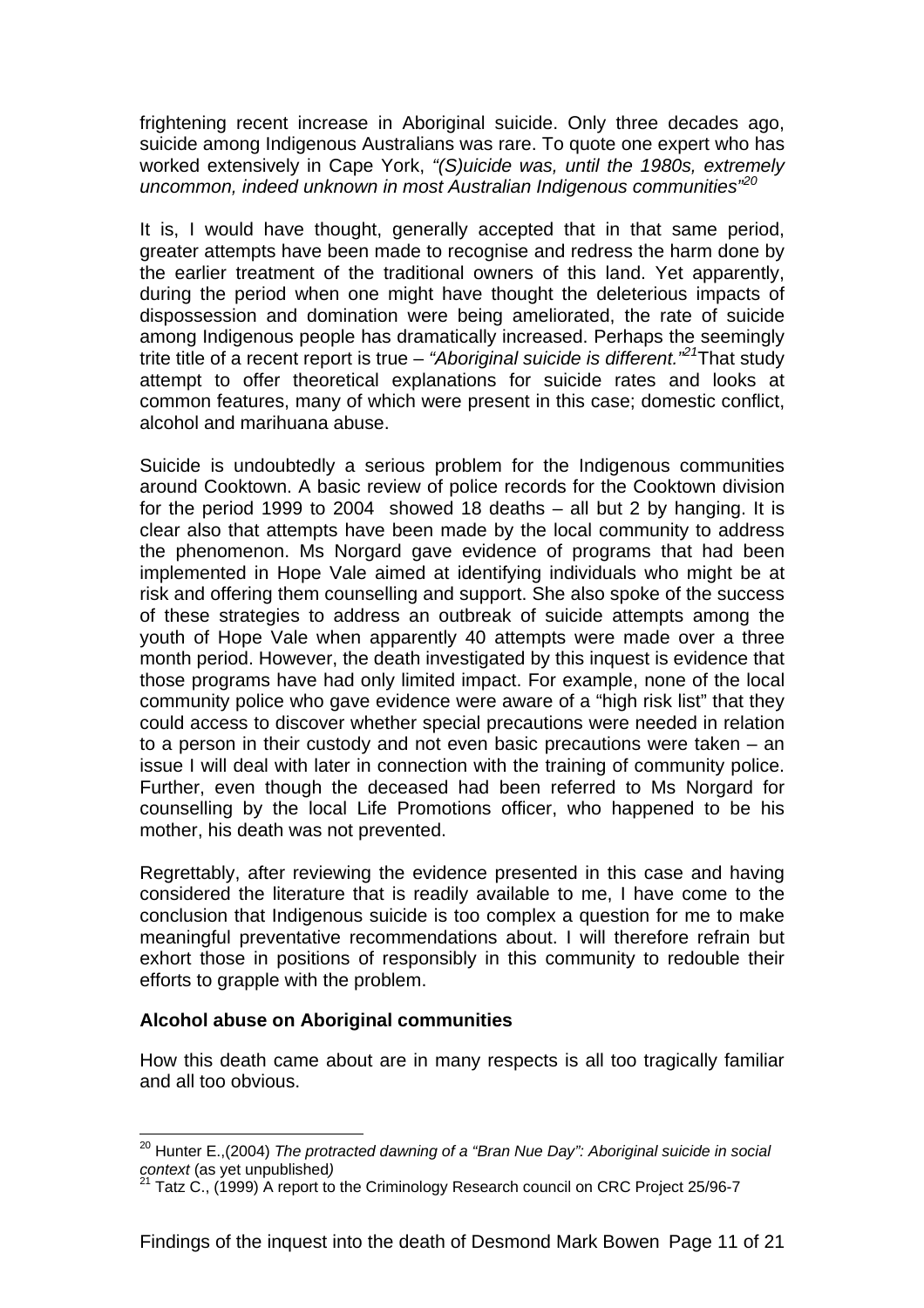frightening recent increase in Aboriginal suicide. Only three decades ago, suicide among Indigenous Australians was rare. To quote one expert who has worked extensively in Cape York, *"(S)uicide was, until the 1980s, extremely uncommon, indeed unknown in most Australian Indigenous communities"<sup>20</sup>*

It is, I would have thought, generally accepted that in that same period, greater attempts have been made to recognise and redress the harm done by the earlier treatment of the traditional owners of this land. Yet apparently, during the period when one might have thought the deleterious impacts of dispossession and domination were being ameliorated, the rate of suicide among Indigenous people has dramatically increased. Perhaps the seemingly trite title of a recent report is true – *"Aboriginal suicide is different."21*That study attempt to offer theoretical explanations for suicide rates and looks at common features, many of which were present in this case; domestic conflict, alcohol and marihuana abuse.

Suicide is undoubtedly a serious problem for the Indigenous communities around Cooktown. A basic review of police records for the Cooktown division for the period 1999 to 2004 showed 18 deaths – all but 2 by hanging. It is clear also that attempts have been made by the local community to address the phenomenon. Ms Norgard gave evidence of programs that had been implemented in Hope Vale aimed at identifying individuals who might be at risk and offering them counselling and support. She also spoke of the success of these strategies to address an outbreak of suicide attempts among the youth of Hope Vale when apparently 40 attempts were made over a three month period. However, the death investigated by this inquest is evidence that those programs have had only limited impact. For example, none of the local community police who gave evidence were aware of a "high risk list" that they could access to discover whether special precautions were needed in relation to a person in their custody and not even basic precautions were taken – an issue I will deal with later in connection with the training of community police. Further, even though the deceased had been referred to Ms Norgard for counselling by the local Life Promotions officer, who happened to be his mother, his death was not prevented.

Regrettably, after reviewing the evidence presented in this case and having considered the literature that is readily available to me, I have come to the conclusion that Indigenous suicide is too complex a question for me to make meaningful preventative recommendations about. I will therefore refrain but exhort those in positions of responsibly in this community to redouble their efforts to grapple with the problem.

#### **Alcohol abuse on Aboriginal communities**

 $\overline{a}$ 

How this death came about are in many respects is all too tragically familiar and all too obvious.

<sup>&</sup>lt;sup>20</sup> Hunter E.,(2004) *The protracted dawning of a "Bran Nue Day": Aboriginal suicide in social context (as vet unpublished)* 

*context* (as yet unpublished*)* 21 Tatz C., (1999) A report to the Criminology Research council on CRC Project 25/96-7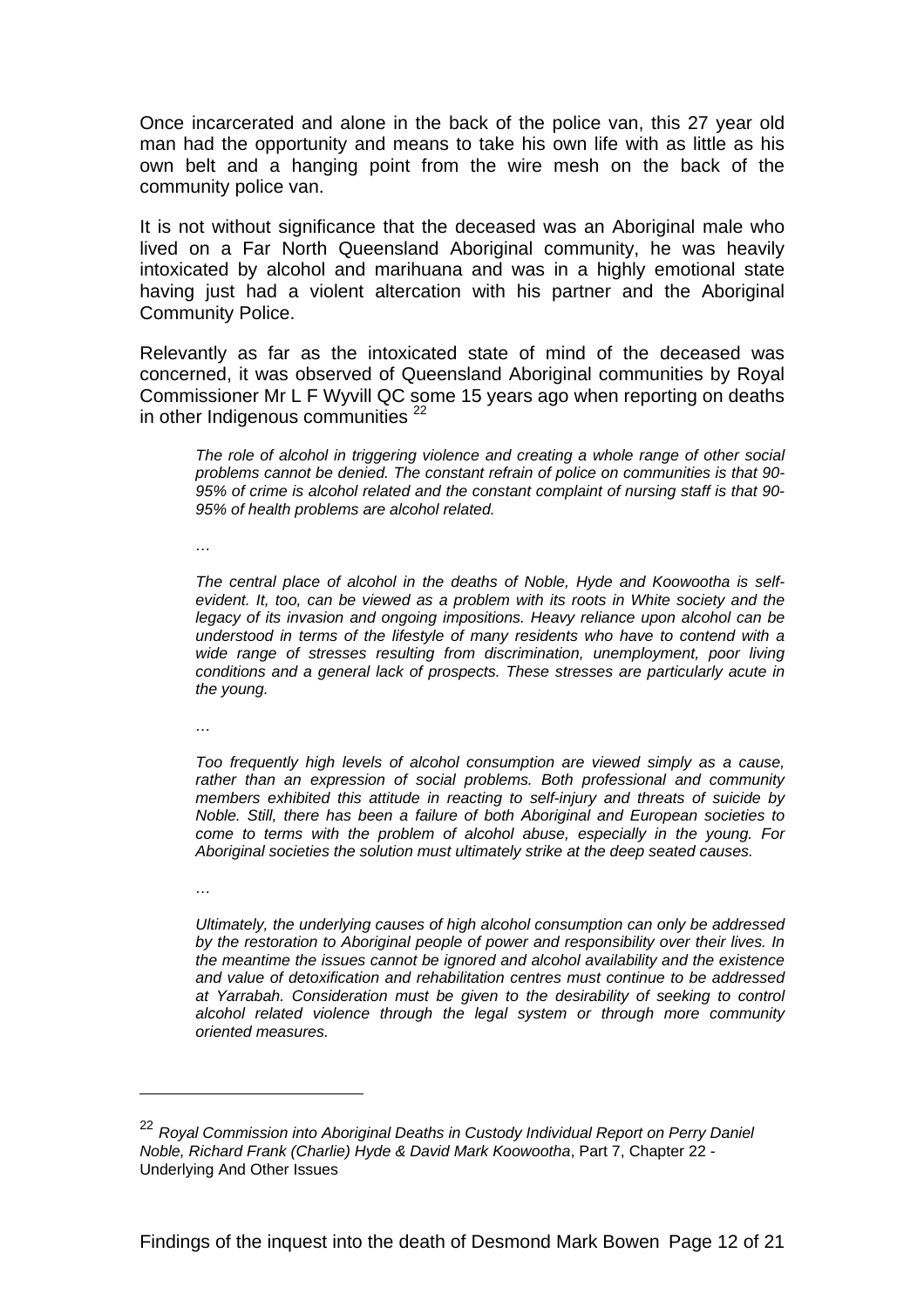Once incarcerated and alone in the back of the police van, this 27 year old man had the opportunity and means to take his own life with as little as his own belt and a hanging point from the wire mesh on the back of the community police van.

It is not without significance that the deceased was an Aboriginal male who lived on a Far North Queensland Aboriginal community, he was heavily intoxicated by alcohol and marihuana and was in a highly emotional state having just had a violent altercation with his partner and the Aboriginal Community Police.

Relevantly as far as the intoxicated state of mind of the deceased was concerned, it was observed of Queensland Aboriginal communities by Royal Commissioner Mr L F Wyvill QC some 15 years ago when reporting on deaths in other Indigenous communities  $22$ 

*The role of alcohol in triggering violence and creating a whole range of other social problems cannot be denied. The constant refrain of police on communities is that 90- 95% of crime is alcohol related and the constant complaint of nursing staff is that 90- 95% of health problems are alcohol related.* 

*…* 

*The central place of alcohol in the deaths of Noble, Hyde and Koowootha is selfevident. It, too, can be viewed as a problem with its roots in White society and the legacy of its invasion and ongoing impositions. Heavy reliance upon alcohol can be understood in terms of the lifestyle of many residents who have to contend with a wide range of stresses resulting from discrimination, unemployment, poor living conditions and a general lack of prospects. These stresses are particularly acute in the young.* 

*…* 

*Too frequently high levels of alcohol consumption are viewed simply as a cause, rather than an expression of social problems. Both professional and community members exhibited this attitude in reacting to self-injury and threats of suicide by Noble. Still, there has been a failure of both Aboriginal and European societies to come to terms with the problem of alcohol abuse, especially in the young. For Aboriginal societies the solution must ultimately strike at the deep seated causes.* 

*…* 

 $\overline{a}$ 

*Ultimately, the underlying causes of high alcohol consumption can only be addressed by the restoration to Aboriginal people of power and responsibility over their lives. In the meantime the issues cannot be ignored and alcohol availability and the existence and value of detoxification and rehabilitation centres must continue to be addressed at Yarrabah. Consideration must be given to the desirability of seeking to control alcohol related violence through the legal system or through more community oriented measures.* 

<sup>22</sup> *Royal Commission into Aboriginal Deaths in Custody Individual Report on Perry Daniel Noble, Richard Frank (Charlie) Hyde & David Mark Koowootha*, Part 7, Chapter 22 - Underlying And Other Issues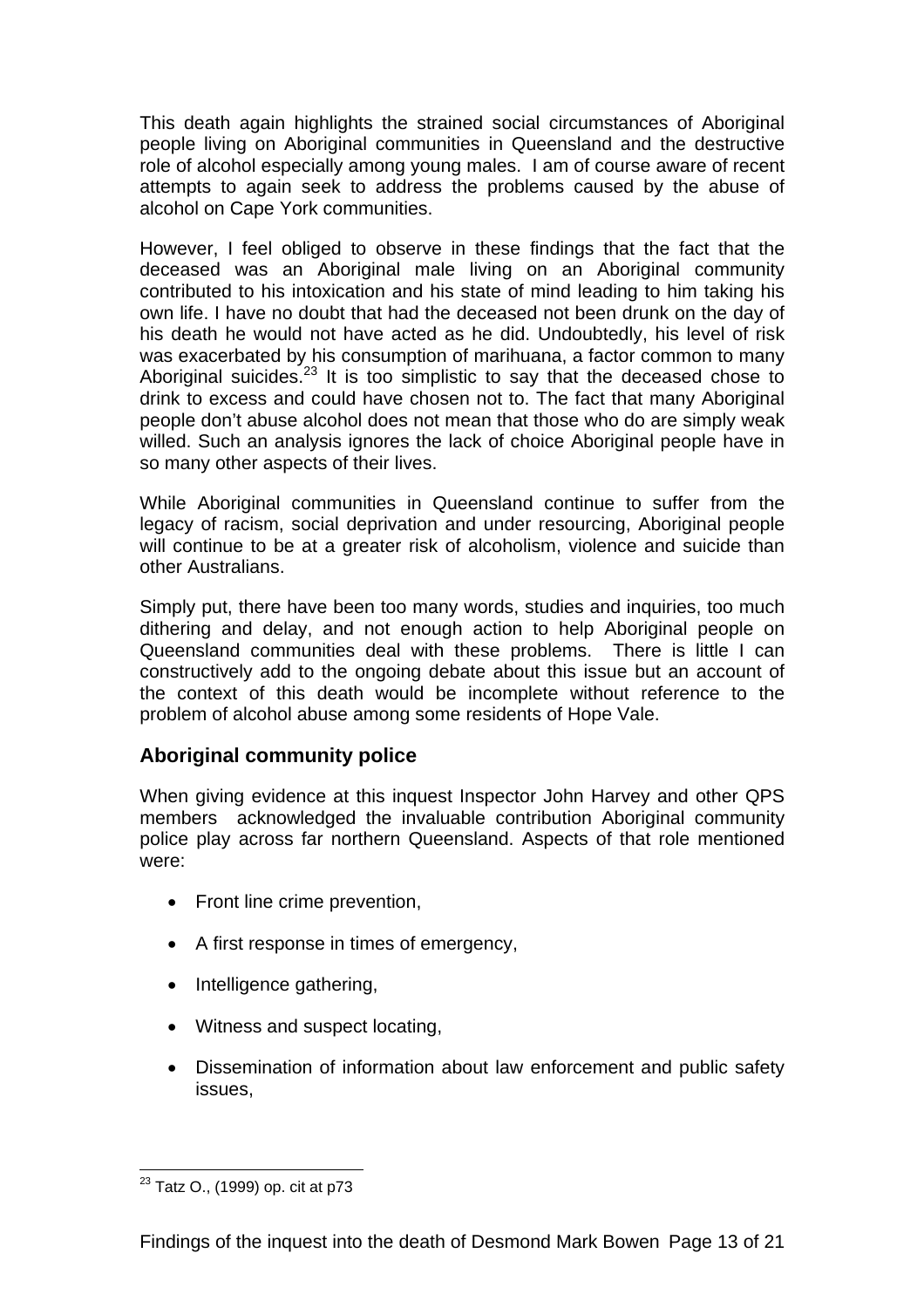This death again highlights the strained social circumstances of Aboriginal people living on Aboriginal communities in Queensland and the destructive role of alcohol especially among young males. I am of course aware of recent attempts to again seek to address the problems caused by the abuse of alcohol on Cape York communities.

However, I feel obliged to observe in these findings that the fact that the deceased was an Aboriginal male living on an Aboriginal community contributed to his intoxication and his state of mind leading to him taking his own life. I have no doubt that had the deceased not been drunk on the day of his death he would not have acted as he did. Undoubtedly, his level of risk was exacerbated by his consumption of marihuana, a factor common to many Aboriginal suicides.<sup>23</sup> It is too simplistic to say that the deceased chose to drink to excess and could have chosen not to. The fact that many Aboriginal people don't abuse alcohol does not mean that those who do are simply weak willed. Such an analysis ignores the lack of choice Aboriginal people have in so many other aspects of their lives.

While Aboriginal communities in Queensland continue to suffer from the legacy of racism, social deprivation and under resourcing, Aboriginal people will continue to be at a greater risk of alcoholism, violence and suicide than other Australians.

Simply put, there have been too many words, studies and inquiries, too much dithering and delay, and not enough action to help Aboriginal people on Queensland communities deal with these problems. There is little I can constructively add to the ongoing debate about this issue but an account of the context of this death would be incomplete without reference to the problem of alcohol abuse among some residents of Hope Vale.

# **Aboriginal community police**

When giving evidence at this inquest Inspector John Harvey and other QPS members acknowledged the invaluable contribution Aboriginal community police play across far northern Queensland. Aspects of that role mentioned were:

- Front line crime prevention,
- A first response in times of emergency,
- Intelligence gathering,
- Witness and suspect locating,
- Dissemination of information about law enforcement and public safety issues,

 $\overline{a}$ <sup>23</sup> Tatz O., (1999) op. cit at p73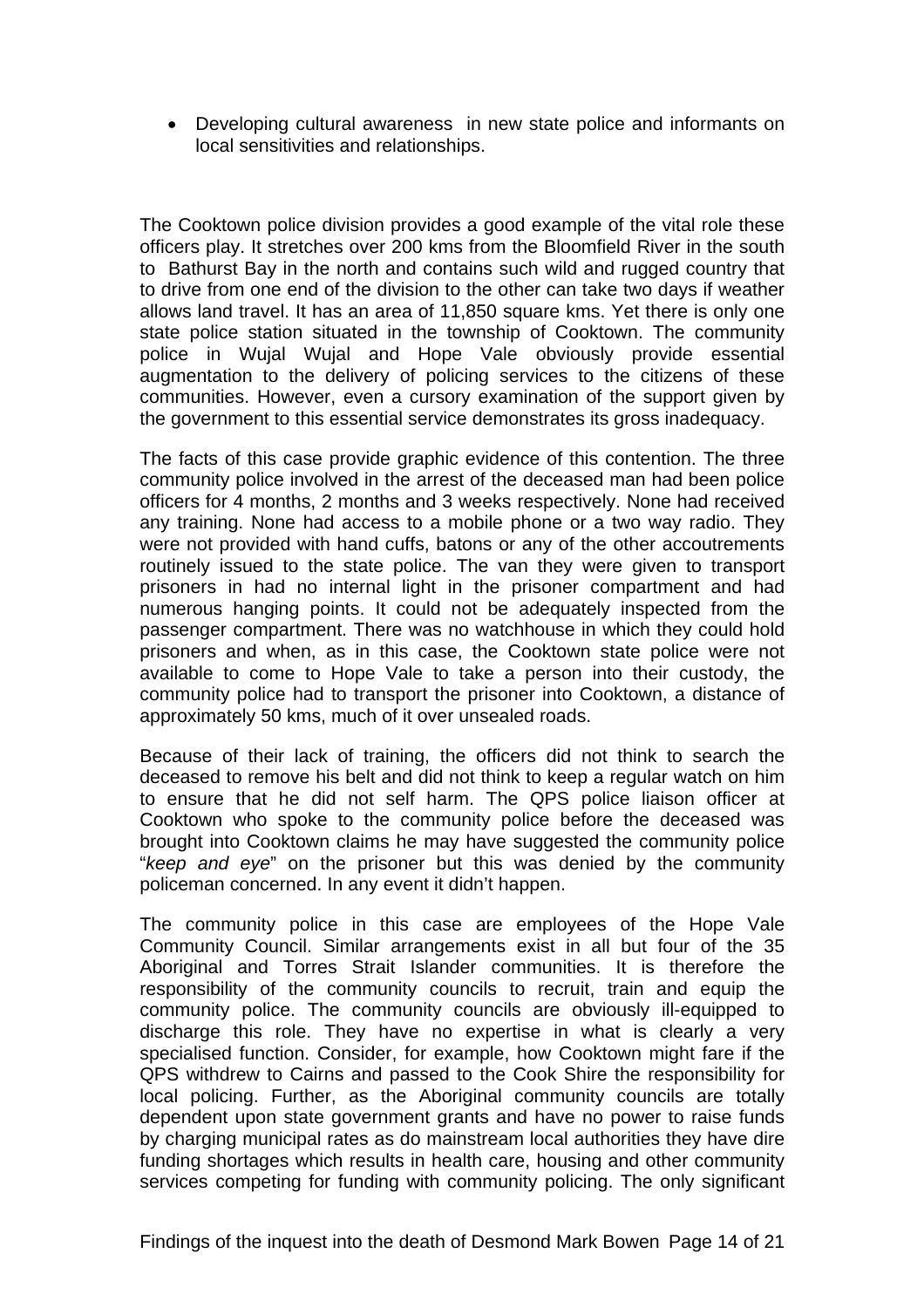• Developing cultural awareness in new state police and informants on local sensitivities and relationships.

The Cooktown police division provides a good example of the vital role these officers play. It stretches over 200 kms from the Bloomfield River in the south to Bathurst Bay in the north and contains such wild and rugged country that to drive from one end of the division to the other can take two days if weather allows land travel. It has an area of 11,850 square kms. Yet there is only one state police station situated in the township of Cooktown. The community police in Wujal Wujal and Hope Vale obviously provide essential augmentation to the delivery of policing services to the citizens of these communities. However, even a cursory examination of the support given by the government to this essential service demonstrates its gross inadequacy.

The facts of this case provide graphic evidence of this contention. The three community police involved in the arrest of the deceased man had been police officers for 4 months, 2 months and 3 weeks respectively. None had received any training. None had access to a mobile phone or a two way radio. They were not provided with hand cuffs, batons or any of the other accoutrements routinely issued to the state police. The van they were given to transport prisoners in had no internal light in the prisoner compartment and had numerous hanging points. It could not be adequately inspected from the passenger compartment. There was no watchhouse in which they could hold prisoners and when, as in this case, the Cooktown state police were not available to come to Hope Vale to take a person into their custody, the community police had to transport the prisoner into Cooktown, a distance of approximately 50 kms, much of it over unsealed roads.

Because of their lack of training, the officers did not think to search the deceased to remove his belt and did not think to keep a regular watch on him to ensure that he did not self harm. The QPS police liaison officer at Cooktown who spoke to the community police before the deceased was brought into Cooktown claims he may have suggested the community police "*keep and eye*" on the prisoner but this was denied by the community policeman concerned. In any event it didn't happen.

The community police in this case are employees of the Hope Vale Community Council. Similar arrangements exist in all but four of the 35 Aboriginal and Torres Strait Islander communities. It is therefore the responsibility of the community councils to recruit, train and equip the community police. The community councils are obviously ill-equipped to discharge this role. They have no expertise in what is clearly a very specialised function. Consider, for example, how Cooktown might fare if the QPS withdrew to Cairns and passed to the Cook Shire the responsibility for local policing. Further, as the Aboriginal community councils are totally dependent upon state government grants and have no power to raise funds by charging municipal rates as do mainstream local authorities they have dire funding shortages which results in health care, housing and other community services competing for funding with community policing. The only significant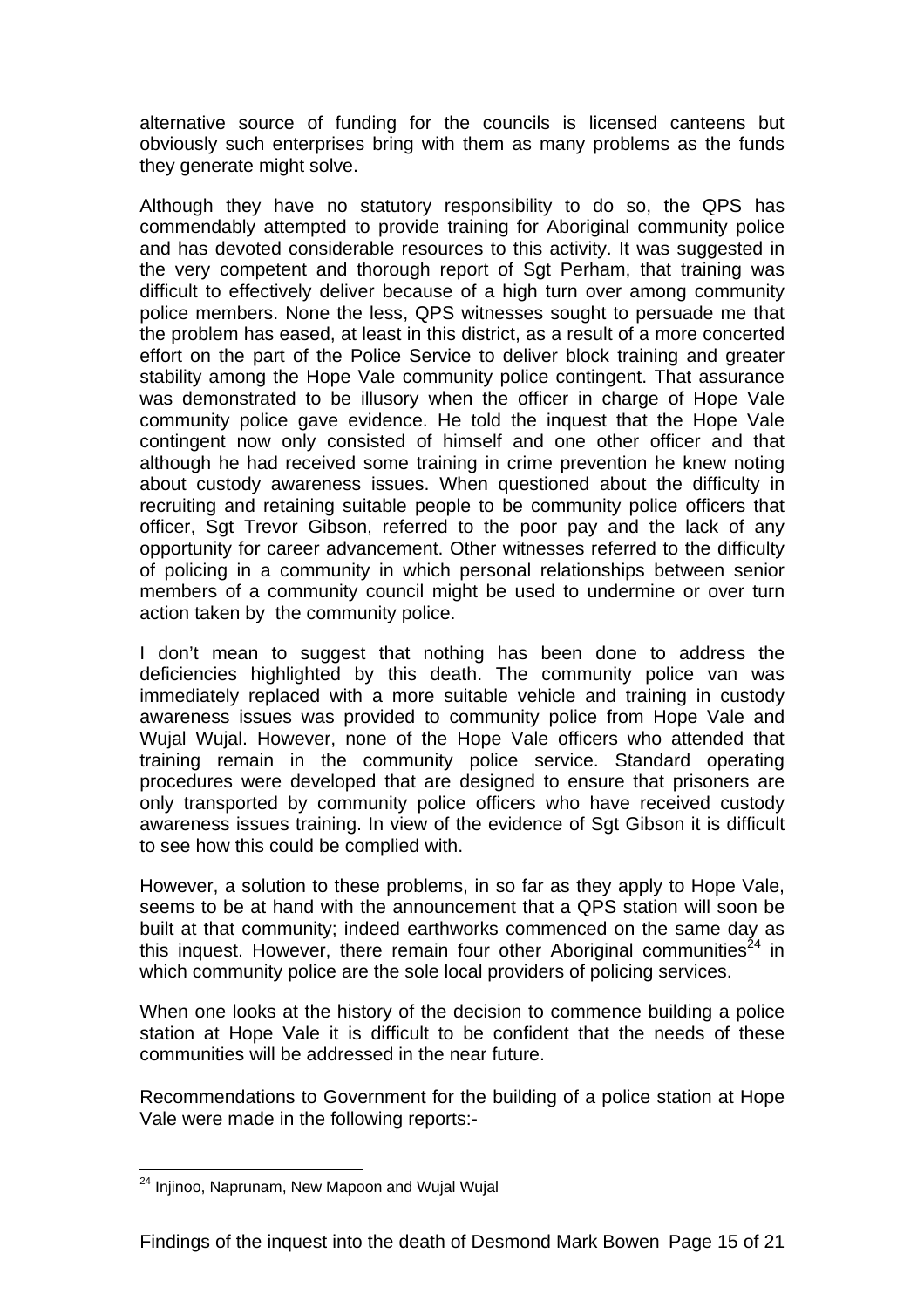alternative source of funding for the councils is licensed canteens but obviously such enterprises bring with them as many problems as the funds they generate might solve.

Although they have no statutory responsibility to do so, the QPS has commendably attempted to provide training for Aboriginal community police and has devoted considerable resources to this activity. It was suggested in the very competent and thorough report of Sgt Perham, that training was difficult to effectively deliver because of a high turn over among community police members. None the less, QPS witnesses sought to persuade me that the problem has eased, at least in this district, as a result of a more concerted effort on the part of the Police Service to deliver block training and greater stability among the Hope Vale community police contingent. That assurance was demonstrated to be illusory when the officer in charge of Hope Vale community police gave evidence. He told the inquest that the Hope Vale contingent now only consisted of himself and one other officer and that although he had received some training in crime prevention he knew noting about custody awareness issues. When questioned about the difficulty in recruiting and retaining suitable people to be community police officers that officer, Sgt Trevor Gibson, referred to the poor pay and the lack of any opportunity for career advancement. Other witnesses referred to the difficulty of policing in a community in which personal relationships between senior members of a community council might be used to undermine or over turn action taken by the community police.

I don't mean to suggest that nothing has been done to address the deficiencies highlighted by this death. The community police van was immediately replaced with a more suitable vehicle and training in custody awareness issues was provided to community police from Hope Vale and Wujal Wujal. However, none of the Hope Vale officers who attended that training remain in the community police service. Standard operating procedures were developed that are designed to ensure that prisoners are only transported by community police officers who have received custody awareness issues training. In view of the evidence of Sgt Gibson it is difficult to see how this could be complied with.

However, a solution to these problems, in so far as they apply to Hope Vale, seems to be at hand with the announcement that a QPS station will soon be built at that community; indeed earthworks commenced on the same day as this inquest. However, there remain four other Aboriginal communities<sup>24</sup> in which community police are the sole local providers of policing services.

When one looks at the history of the decision to commence building a police station at Hope Vale it is difficult to be confident that the needs of these communities will be addressed in the near future.

Recommendations to Government for the building of a police station at Hope Vale were made in the following reports:-

 $\overline{a}$ <sup>24</sup> Injinoo, Naprunam, New Mapoon and Wujal Wujal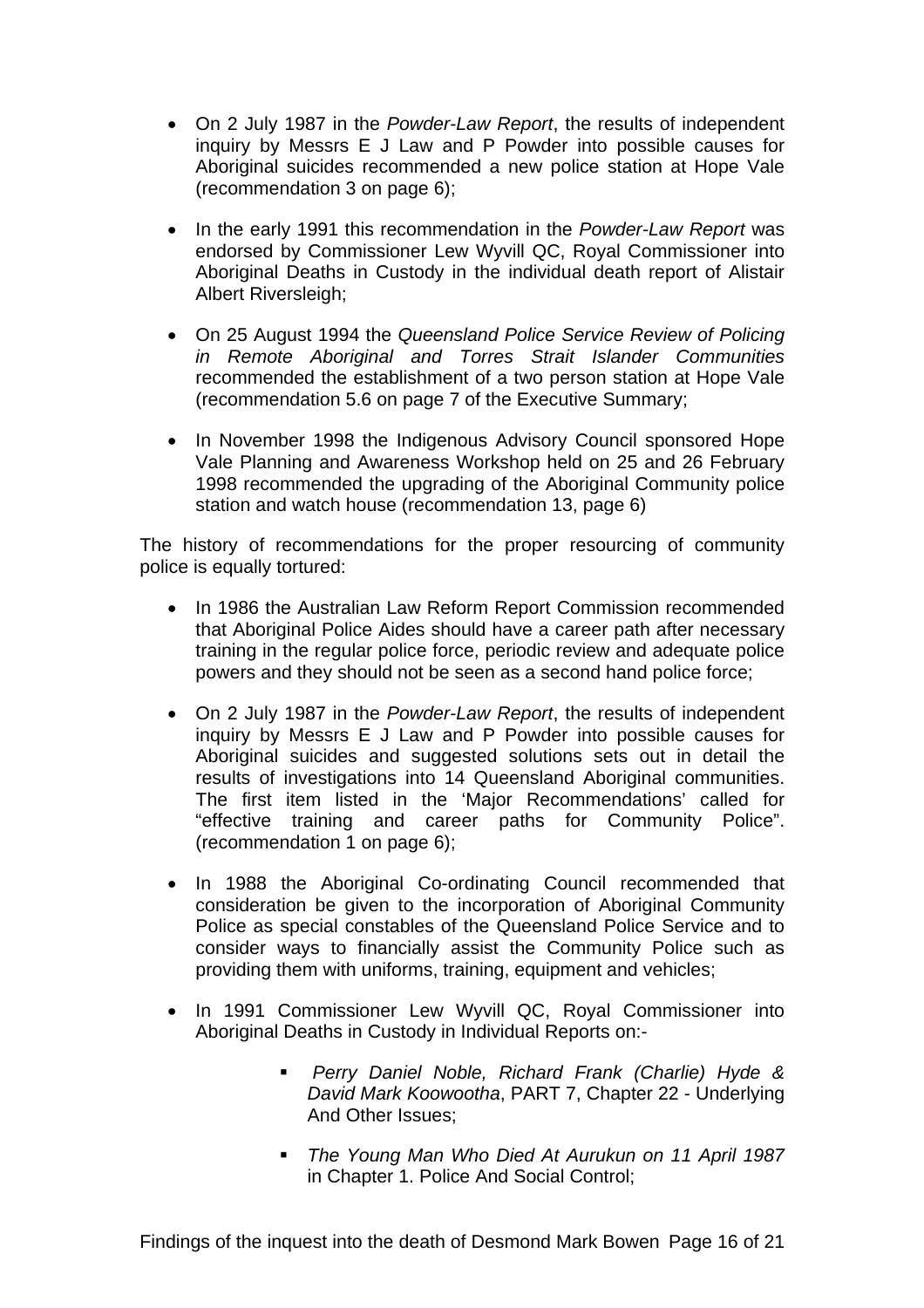- On 2 July 1987 in the *Powder-Law Report*, the results of independent inquiry by Messrs E J Law and P Powder into possible causes for Aboriginal suicides recommended a new police station at Hope Vale (recommendation 3 on page 6);
- In the early 1991 this recommendation in the *Powder-Law Report* was endorsed by Commissioner Lew Wyvill QC, Royal Commissioner into Aboriginal Deaths in Custody in the individual death report of Alistair Albert Riversleigh;
- On 25 August 1994 the *Queensland Police Service Review of Policing in Remote Aboriginal and Torres Strait Islander Communities* recommended the establishment of a two person station at Hope Vale (recommendation 5.6 on page 7 of the Executive Summary;
- In November 1998 the Indigenous Advisory Council sponsored Hope Vale Planning and Awareness Workshop held on 25 and 26 February 1998 recommended the upgrading of the Aboriginal Community police station and watch house (recommendation 13, page 6)

The history of recommendations for the proper resourcing of community police is equally tortured:

- In 1986 the Australian Law Reform Report Commission recommended that Aboriginal Police Aides should have a career path after necessary training in the regular police force, periodic review and adequate police powers and they should not be seen as a second hand police force;
- On 2 July 1987 in the *Powder-Law Report*, the results of independent inquiry by Messrs E J Law and P Powder into possible causes for Aboriginal suicides and suggested solutions sets out in detail the results of investigations into 14 Queensland Aboriginal communities. The first item listed in the 'Major Recommendations' called for "effective training and career paths for Community Police". (recommendation 1 on page 6);
- In 1988 the Aboriginal Co-ordinating Council recommended that consideration be given to the incorporation of Aboriginal Community Police as special constables of the Queensland Police Service and to consider ways to financially assist the Community Police such as providing them with uniforms, training, equipment and vehicles;
- In 1991 Commissioner Lew Wyvill QC, Royal Commissioner into Aboriginal Deaths in Custody in Individual Reports on:-
	- *Perry Daniel Noble, Richard Frank (Charlie) Hyde & David Mark Koowootha*, PART 7, Chapter 22 - Underlying And Other Issues;
	- *The Young Man Who Died At Aurukun on 11 April 1987*  in Chapter 1. Police And Social Control;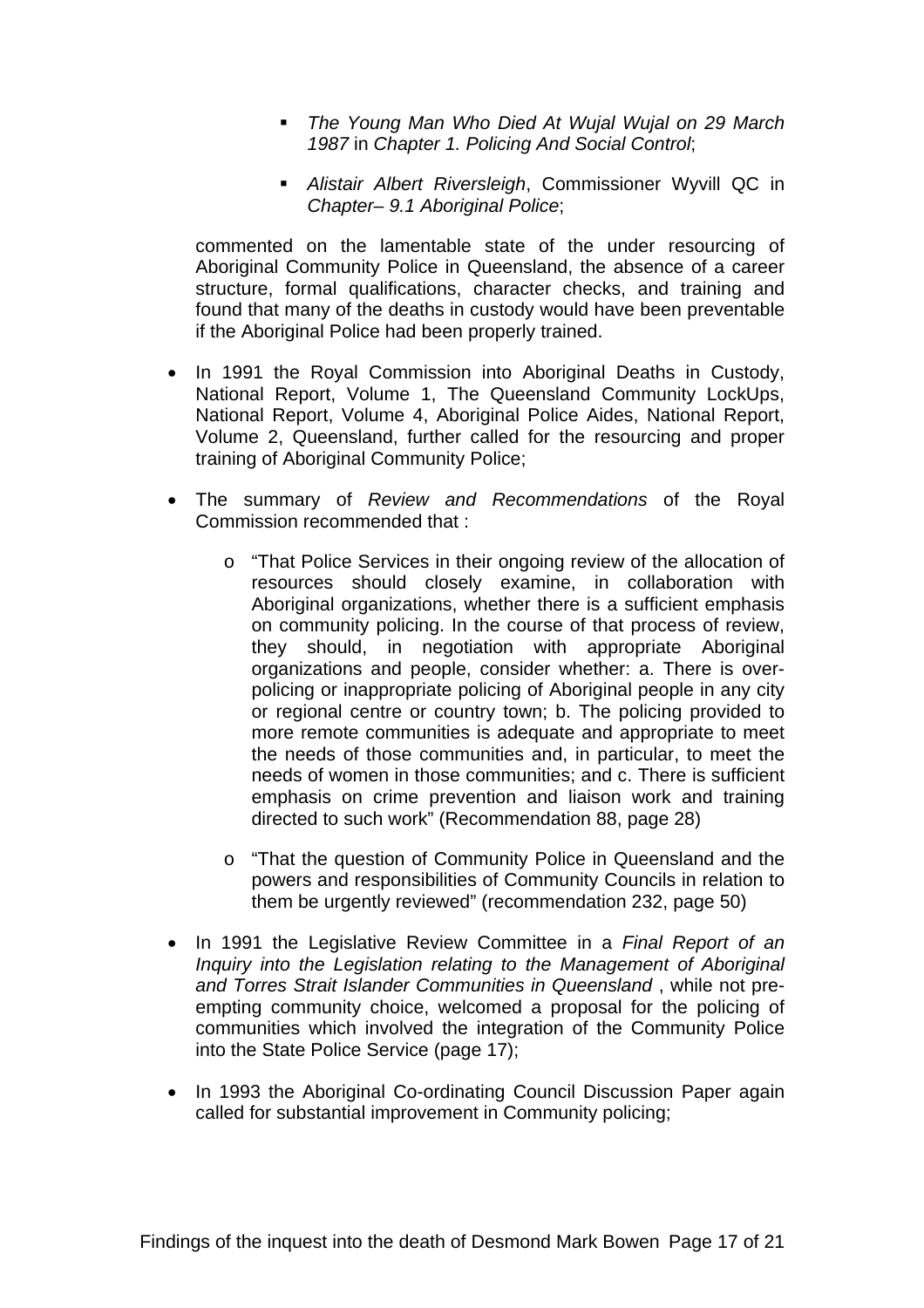- *The Young Man Who Died At Wujal Wujal on 29 March 1987* in *Chapter 1. Policing And Social Control*;
- *Alistair Albert Riversleigh*, Commissioner Wyvill QC in *Chapter– 9.1 Aboriginal Police*;

commented on the lamentable state of the under resourcing of Aboriginal Community Police in Queensland, the absence of a career structure, formal qualifications, character checks, and training and found that many of the deaths in custody would have been preventable if the Aboriginal Police had been properly trained.

- In 1991 the Royal Commission into Aboriginal Deaths in Custody, National Report, Volume 1, The Queensland Community LockUps, National Report, Volume 4, Aboriginal Police Aides, National Report, Volume 2, Queensland, further called for the resourcing and proper training of Aboriginal Community Police;
- The summary of *Review and Recommendations* of the Royal Commission recommended that :
	- o "That Police Services in their ongoing review of the allocation of resources should closely examine, in collaboration with Aboriginal organizations, whether there is a sufficient emphasis on community policing. In the course of that process of review, they should, in negotiation with appropriate Aboriginal organizations and people, consider whether: a. There is overpolicing or inappropriate policing of Aboriginal people in any city or regional centre or country town; b. The policing provided to more remote communities is adequate and appropriate to meet the needs of those communities and, in particular, to meet the needs of women in those communities; and c. There is sufficient emphasis on crime prevention and liaison work and training directed to such work" (Recommendation 88, page 28)
	- o "That the question of Community Police in Queensland and the powers and responsibilities of Community Councils in relation to them be urgently reviewed" (recommendation 232, page 50)
- In 1991 the Legislative Review Committee in a *Final Report of an Inquiry into the Legislation relating to the Management of Aboriginal and Torres Strait Islander Communities in Queensland* , while not preempting community choice, welcomed a proposal for the policing of communities which involved the integration of the Community Police into the State Police Service (page 17);
- In 1993 the Aboriginal Co-ordinating Council Discussion Paper again called for substantial improvement in Community policing;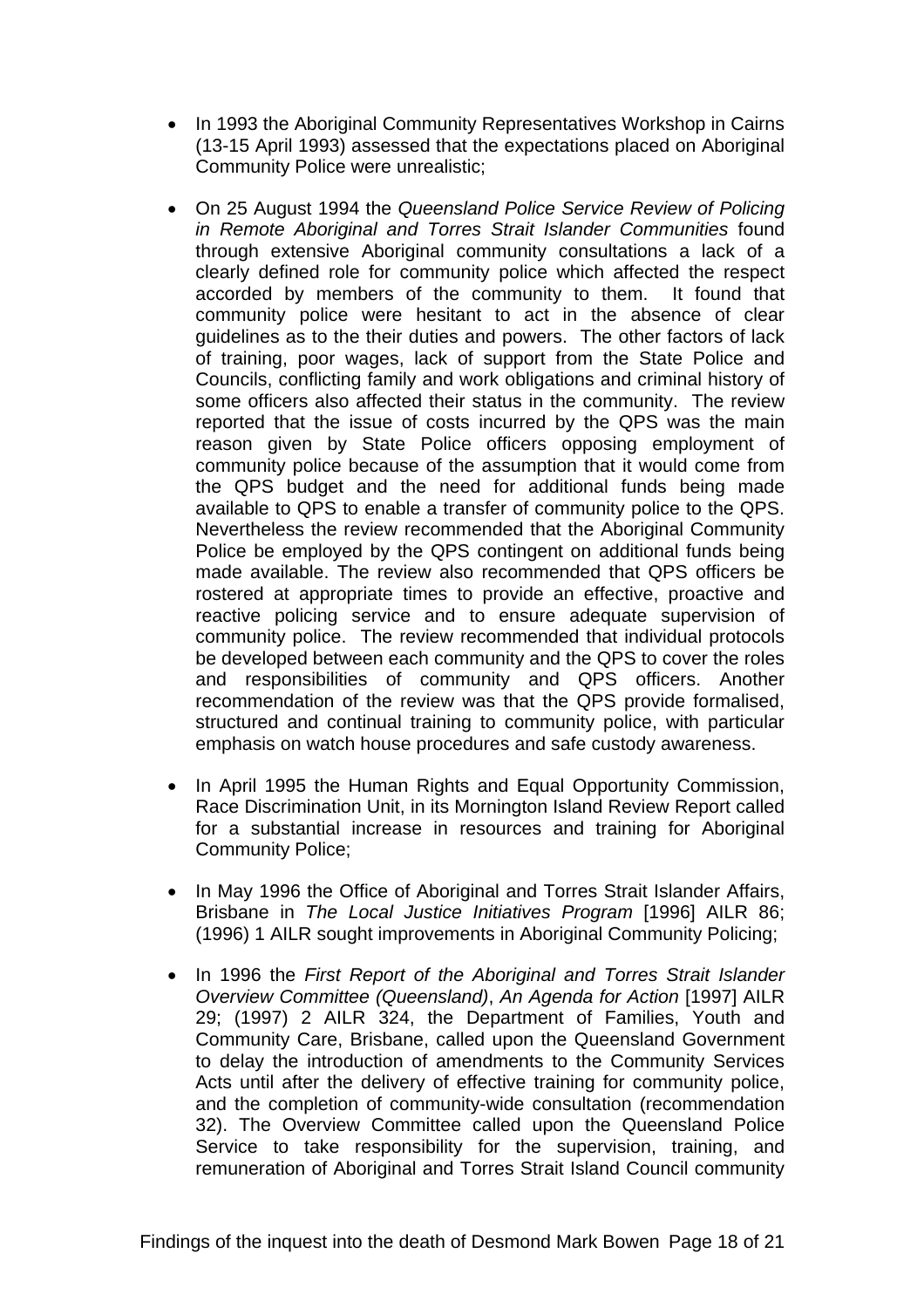- In 1993 the Aboriginal Community Representatives Workshop in Cairns (13-15 April 1993) assessed that the expectations placed on Aboriginal Community Police were unrealistic;
- On 25 August 1994 the *Queensland Police Service Review of Policing in Remote Aboriginal and Torres Strait Islander Communities* found through extensive Aboriginal community consultations a lack of a clearly defined role for community police which affected the respect accorded by members of the community to them. It found that community police were hesitant to act in the absence of clear guidelines as to the their duties and powers. The other factors of lack of training, poor wages, lack of support from the State Police and Councils, conflicting family and work obligations and criminal history of some officers also affected their status in the community. The review reported that the issue of costs incurred by the QPS was the main reason given by State Police officers opposing employment of community police because of the assumption that it would come from the QPS budget and the need for additional funds being made available to QPS to enable a transfer of community police to the QPS. Nevertheless the review recommended that the Aboriginal Community Police be employed by the QPS contingent on additional funds being made available. The review also recommended that QPS officers be rostered at appropriate times to provide an effective, proactive and reactive policing service and to ensure adequate supervision of community police. The review recommended that individual protocols be developed between each community and the QPS to cover the roles and responsibilities of community and QPS officers. Another recommendation of the review was that the QPS provide formalised, structured and continual training to community police, with particular emphasis on watch house procedures and safe custody awareness.
- In April 1995 the Human Rights and Equal Opportunity Commission, Race Discrimination Unit, in its Mornington Island Review Report called for a substantial increase in resources and training for Aboriginal Community Police;
- In May 1996 the Office of Aboriginal and Torres Strait Islander Affairs, Brisbane in *The Local Justice Initiatives Program* [1996] AILR 86; (1996) 1 AILR sought improvements in Aboriginal Community Policing;
- In 1996 the *First Report of the Aboriginal and Torres Strait Islander Overview Committee (Queensland)*, *An Agenda for Action* [1997] AILR 29; (1997) 2 AILR 324, the Department of Families, Youth and Community Care, Brisbane, called upon the Queensland Government to delay the introduction of amendments to the Community Services Acts until after the delivery of effective training for community police, and the completion of community-wide consultation (recommendation 32). The Overview Committee called upon the Queensland Police Service to take responsibility for the supervision, training, and remuneration of Aboriginal and Torres Strait Island Council community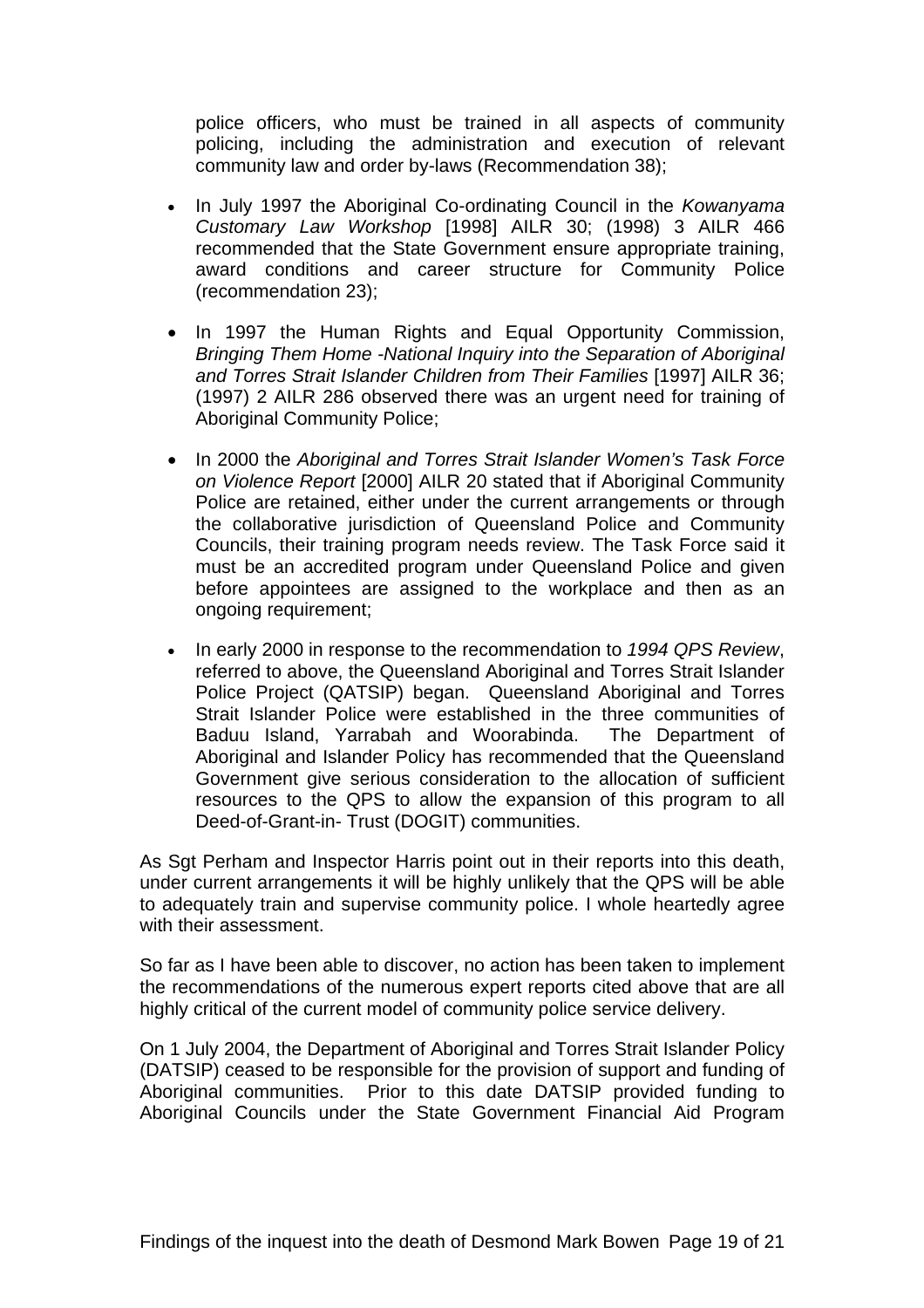police officers, who must be trained in all aspects of community policing, including the administration and execution of relevant community law and order by-laws (Recommendation 38);

- In July 1997 the Aboriginal Co-ordinating Council in the *Kowanyama Customary Law Workshop* [1998] AILR 30; (1998) 3 AILR 466 recommended that the State Government ensure appropriate training, award conditions and career structure for Community Police (recommendation 23);
- In 1997 the Human Rights and Equal Opportunity Commission, *Bringing Them Home -National Inquiry into the Separation of Aboriginal and Torres Strait Islander Children from Their Families* [1997] AILR 36; (1997) 2 AILR 286 observed there was an urgent need for training of Aboriginal Community Police;
- In 2000 the *Aboriginal and Torres Strait Islander Women's Task Force on Violence Report* [2000] AILR 20 stated that if Aboriginal Community Police are retained, either under the current arrangements or through the collaborative jurisdiction of Queensland Police and Community Councils, their training program needs review. The Task Force said it must be an accredited program under Queensland Police and given before appointees are assigned to the workplace and then as an ongoing requirement;
- In early 2000 in response to the recommendation to *1994 QPS Review*, referred to above, the Queensland Aboriginal and Torres Strait Islander Police Project (QATSIP) began. Queensland Aboriginal and Torres Strait Islander Police were established in the three communities of Baduu Island, Yarrabah and Woorabinda. The Department of Aboriginal and Islander Policy has recommended that the Queensland Government give serious consideration to the allocation of sufficient resources to the QPS to allow the expansion of this program to all Deed-of-Grant-in- Trust (DOGIT) communities.

As Sgt Perham and Inspector Harris point out in their reports into this death, under current arrangements it will be highly unlikely that the QPS will be able to adequately train and supervise community police. I whole heartedly agree with their assessment.

So far as I have been able to discover, no action has been taken to implement the recommendations of the numerous expert reports cited above that are all highly critical of the current model of community police service delivery.

On 1 July 2004, the Department of Aboriginal and Torres Strait Islander Policy (DATSIP) ceased to be responsible for the provision of support and funding of Aboriginal communities. Prior to this date DATSIP provided funding to Aboriginal Councils under the State Government Financial Aid Program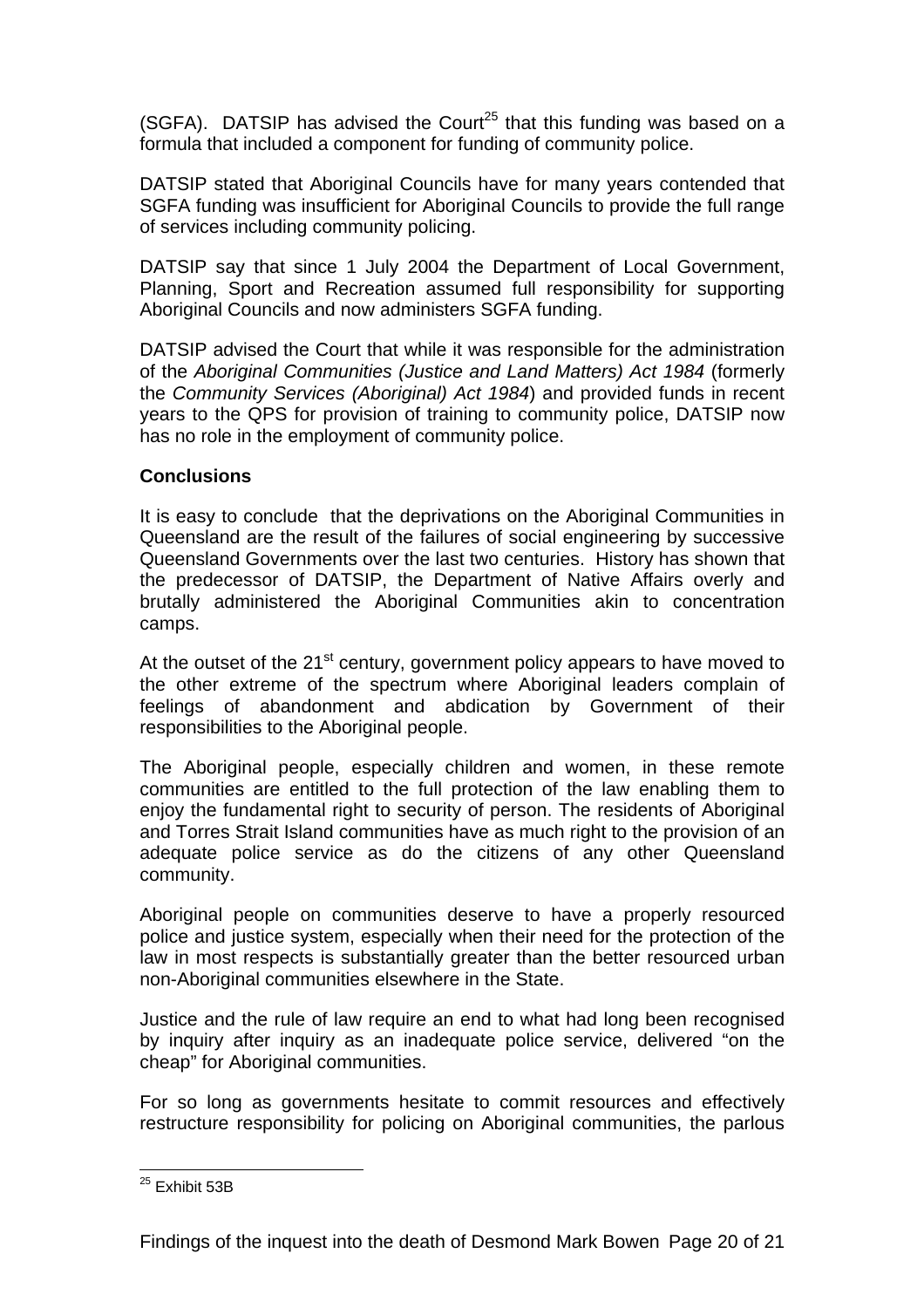(SGFA). DATSIP has advised the Court<sup>25</sup> that this funding was based on a formula that included a component for funding of community police.

DATSIP stated that Aboriginal Councils have for many years contended that SGFA funding was insufficient for Aboriginal Councils to provide the full range of services including community policing.

DATSIP say that since 1 July 2004 the Department of Local Government, Planning, Sport and Recreation assumed full responsibility for supporting Aboriginal Councils and now administers SGFA funding.

DATSIP advised the Court that while it was responsible for the administration of the *Aboriginal Communities (Justice and Land Matters) Act 1984* (formerly the *Community Services (Aboriginal) Act 1984*) and provided funds in recent years to the QPS for provision of training to community police, DATSIP now has no role in the employment of community police.

#### **Conclusions**

It is easy to conclude that the deprivations on the Aboriginal Communities in Queensland are the result of the failures of social engineering by successive Queensland Governments over the last two centuries. History has shown that the predecessor of DATSIP, the Department of Native Affairs overly and brutally administered the Aboriginal Communities akin to concentration camps.

At the outset of the  $21<sup>st</sup>$  century, government policy appears to have moved to the other extreme of the spectrum where Aboriginal leaders complain of feelings of abandonment and abdication by Government of their responsibilities to the Aboriginal people.

The Aboriginal people, especially children and women, in these remote communities are entitled to the full protection of the law enabling them to enjoy the fundamental right to security of person. The residents of Aboriginal and Torres Strait Island communities have as much right to the provision of an adequate police service as do the citizens of any other Queensland community.

Aboriginal people on communities deserve to have a properly resourced police and justice system, especially when their need for the protection of the law in most respects is substantially greater than the better resourced urban non-Aboriginal communities elsewhere in the State.

Justice and the rule of law require an end to what had long been recognised by inquiry after inquiry as an inadequate police service, delivered "on the cheap" for Aboriginal communities.

For so long as governments hesitate to commit resources and effectively restructure responsibility for policing on Aboriginal communities, the parlous

 $\overline{a}$ <sup>25</sup> Exhibit 53B